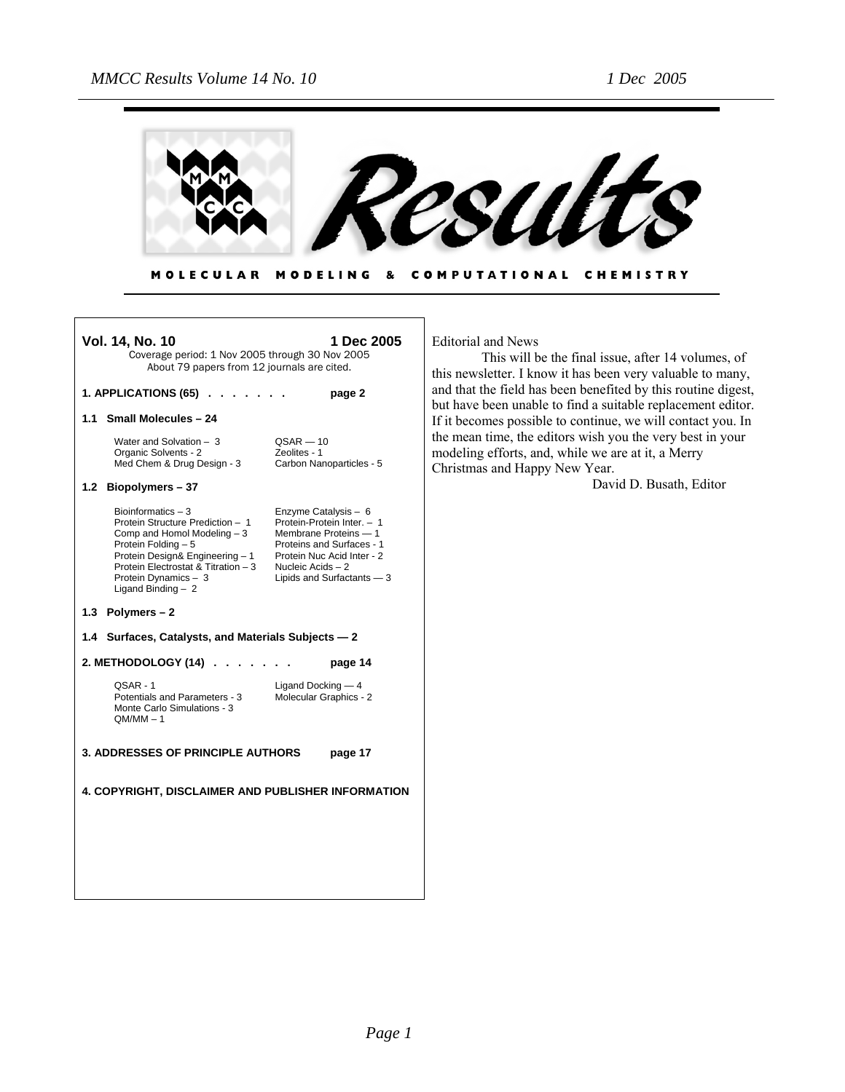Г



**MOLECULAR** MODELING & COMPUTATIONAL CHEMISTRY

| 1 Dec 2005<br><b>Vol. 14, No. 10</b><br>Coverage period: 1 Nov 2005 through 30 Nov 2005<br>About 79 papers from 12 journals are cited.                                                                                                  |                                                                                                                                                                                           |  |
|-----------------------------------------------------------------------------------------------------------------------------------------------------------------------------------------------------------------------------------------|-------------------------------------------------------------------------------------------------------------------------------------------------------------------------------------------|--|
| 1. APPLICATIONS (65).                                                                                                                                                                                                                   | page 2                                                                                                                                                                                    |  |
| <b>Small Molecules - 24</b><br>1.1                                                                                                                                                                                                      |                                                                                                                                                                                           |  |
| Water and Solvation $-3$<br>Organic Solvents - 2<br>Med Chem & Drug Design - 3                                                                                                                                                          | $QSAR - 10$<br>Zeolites - 1<br>Carbon Nanoparticles - 5                                                                                                                                   |  |
| 1.2 Biopolymers - 37                                                                                                                                                                                                                    |                                                                                                                                                                                           |  |
| Bioinformatics $-3$<br>Protein Structure Prediction - 1<br>Comp and Homol Modeling $-3$<br>Protein Folding - 5<br>Protein Design& Engineering - 1<br>Protein Electrostat & Titration - 3<br>Protein Dynamics - 3<br>Ligand Binding $-2$ | Enzyme Catalysis - 6<br>Protein-Protein Inter. - 1<br>Membrane Proteins - 1<br>Proteins and Surfaces - 1<br>Protein Nuc Acid Inter - 2<br>Nucleic Acids - 2<br>Lipids and Surfactants - 3 |  |
| 1.3 Polymers $-2$                                                                                                                                                                                                                       |                                                                                                                                                                                           |  |
| Surfaces, Catalysts, and Materials Subjects - 2<br>1.4                                                                                                                                                                                  |                                                                                                                                                                                           |  |
| 2. METHODOLOGY (14)                                                                                                                                                                                                                     | page 14                                                                                                                                                                                   |  |
| QSAR - 1<br>Potentials and Parameters - 3<br>Monte Carlo Simulations - 3<br>$OM/MM - 1$                                                                                                                                                 | Ligand Docking $-4$<br>Molecular Graphics - 2                                                                                                                                             |  |
| <b>3. ADDRESSES OF PRINCIPLE AUTHORS</b><br>page 17                                                                                                                                                                                     |                                                                                                                                                                                           |  |
| 4. COPYRIGHT, DISCLAIMER AND PUBLISHER INFORMATION                                                                                                                                                                                      |                                                                                                                                                                                           |  |
|                                                                                                                                                                                                                                         |                                                                                                                                                                                           |  |
|                                                                                                                                                                                                                                         |                                                                                                                                                                                           |  |

Editorial and News

This will be the final issue, after 14 volumes, of this newsletter. I know it has been very valuable to many, and that the field has been benefited by this routine digest, but have been unable to find a suitable replacement editor. If it becomes possible to continue, we will contact you. In the mean time, the editors wish you the very best in your modeling efforts, and, while we are at it, a Merry Christmas and Happy New Year.

David D. Busath, Editor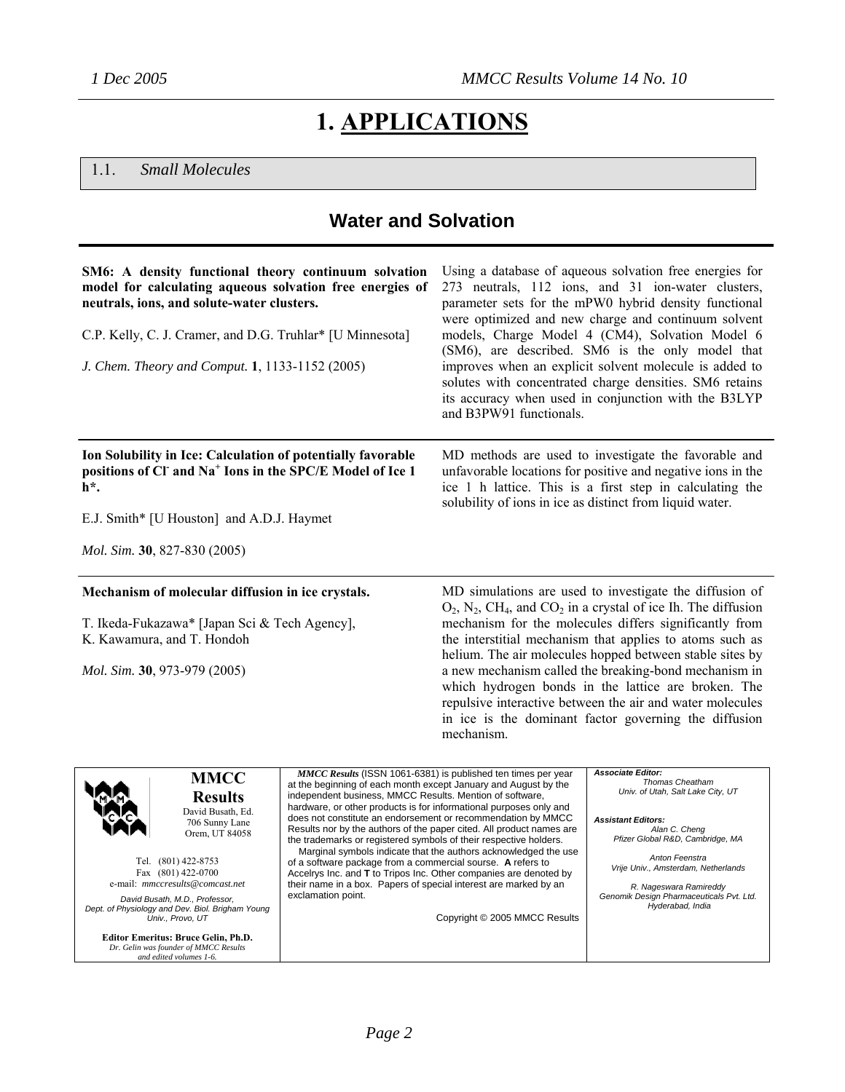# **1. APPLICATIONS**

#### 1.1. *Small Molecules*

## **Water and Solvation**

| SM6: A density functional theory continuum solvation<br>model for calculating aqueous solvation free energies of<br>neutrals, ions, and solute-water clusters.<br>C.P. Kelly, C. J. Cramer, and D.G. Truhlar* [U Minnesota]<br>J. Chem. Theory and Comput. 1, 1133-1152 (2005)                                                                                                                     |                                                                                                                                                                                                                                                                                                                                                                                                                                                                                                                                                                                                                                                                                                                      | and B3PW91 functionals.                                                                          | Using a database of aqueous solvation free energies for<br>273 neutrals, 112 ions, and 31 ion-water clusters,<br>parameter sets for the mPW0 hybrid density functional<br>were optimized and new charge and continuum solvent<br>models, Charge Model 4 (CM4), Solvation Model 6<br>(SM6), are described. SM6 is the only model that<br>improves when an explicit solvent molecule is added to<br>solutes with concentrated charge densities. SM6 retains<br>its accuracy when used in conjunction with the B3LYP                                                              |
|----------------------------------------------------------------------------------------------------------------------------------------------------------------------------------------------------------------------------------------------------------------------------------------------------------------------------------------------------------------------------------------------------|----------------------------------------------------------------------------------------------------------------------------------------------------------------------------------------------------------------------------------------------------------------------------------------------------------------------------------------------------------------------------------------------------------------------------------------------------------------------------------------------------------------------------------------------------------------------------------------------------------------------------------------------------------------------------------------------------------------------|--------------------------------------------------------------------------------------------------|--------------------------------------------------------------------------------------------------------------------------------------------------------------------------------------------------------------------------------------------------------------------------------------------------------------------------------------------------------------------------------------------------------------------------------------------------------------------------------------------------------------------------------------------------------------------------------|
| Ion Solubility in Ice: Calculation of potentially favorable<br>positions of CI and Na <sup>+</sup> Ions in the SPC/E Model of Ice 1<br>h*.                                                                                                                                                                                                                                                         |                                                                                                                                                                                                                                                                                                                                                                                                                                                                                                                                                                                                                                                                                                                      | solubility of ions in ice as distinct from liquid water.                                         | MD methods are used to investigate the favorable and<br>unfavorable locations for positive and negative ions in the<br>ice 1 h lattice. This is a first step in calculating the                                                                                                                                                                                                                                                                                                                                                                                                |
| E.J. Smith* [U Houston] and A.D.J. Haymet                                                                                                                                                                                                                                                                                                                                                          |                                                                                                                                                                                                                                                                                                                                                                                                                                                                                                                                                                                                                                                                                                                      |                                                                                                  |                                                                                                                                                                                                                                                                                                                                                                                                                                                                                                                                                                                |
| Mol. Sim. 30, 827-830 (2005)                                                                                                                                                                                                                                                                                                                                                                       |                                                                                                                                                                                                                                                                                                                                                                                                                                                                                                                                                                                                                                                                                                                      |                                                                                                  |                                                                                                                                                                                                                                                                                                                                                                                                                                                                                                                                                                                |
| Mechanism of molecular diffusion in ice crystals.<br>T. Ikeda-Fukazawa* [Japan Sci & Tech Agency],<br>K. Kawamura, and T. Hondoh<br>Mol. Sim. 30, 973-979 (2005)                                                                                                                                                                                                                                   |                                                                                                                                                                                                                                                                                                                                                                                                                                                                                                                                                                                                                                                                                                                      | mechanism.                                                                                       | MD simulations are used to investigate the diffusion of<br>$O_2$ , $N_2$ , CH <sub>4</sub> , and CO <sub>2</sub> in a crystal of ice Ih. The diffusion<br>mechanism for the molecules differs significantly from<br>the interstitial mechanism that applies to atoms such as<br>helium. The air molecules hopped between stable sites by<br>a new mechanism called the breaking-bond mechanism in<br>which hydrogen bonds in the lattice are broken. The<br>repulsive interactive between the air and water molecules<br>in ice is the dominant factor governing the diffusion |
| <b>MMCC</b><br><b>Results</b><br>David Busath, Ed.<br>706 Sunny Lane<br>Orem, UT 84058<br>Tel. (801) 422-8753<br>Fax (801) 422-0700<br>e-mail: mmccresults@comcast.net<br>David Busath, M.D., Professor,<br>Dept. of Physiology and Dev. Biol. Brigham Young<br>Univ., Provo, UT<br><b>Editor Emeritus: Bruce Gelin, Ph.D.</b><br>Dr. Gelin was founder of MMCC Results<br>and edited volumes 1-6. | MMCC Results (ISSN 1061-6381) is published ten times per year<br>at the beginning of each month except January and August by the<br>independent business, MMCC Results. Mention of software,<br>hardware, or other products is for informational purposes only and<br>does not constitute an endorsement or recommendation by MMCC<br>Results nor by the authors of the paper cited. All product names are<br>the trademarks or registered symbols of their respective holders.<br>of a software package from a commercial sourse. A refers to<br>Accelrys Inc. and <b>T</b> to Tripos Inc. Other companies are denoted by<br>their name in a box. Papers of special interest are marked by an<br>exclamation point. | Marginal symbols indicate that the authors acknowledged the use<br>Copyright © 2005 MMCC Results | <b>Associate Editor:</b><br><b>Thomas Cheatham</b><br>Univ. of Utah, Salt Lake City, UT<br><b>Assistant Editors:</b><br>Alan C. Cheng<br>Pfizer Global R&D, Cambridge, MA<br>Anton Feenstra<br>Vrije Univ., Amsterdam, Netherlands<br>R. Nageswara Ramireddy<br>Genomik Design Pharmaceuticals Pvt. Ltd.<br>Hyderabad, India                                                                                                                                                                                                                                                   |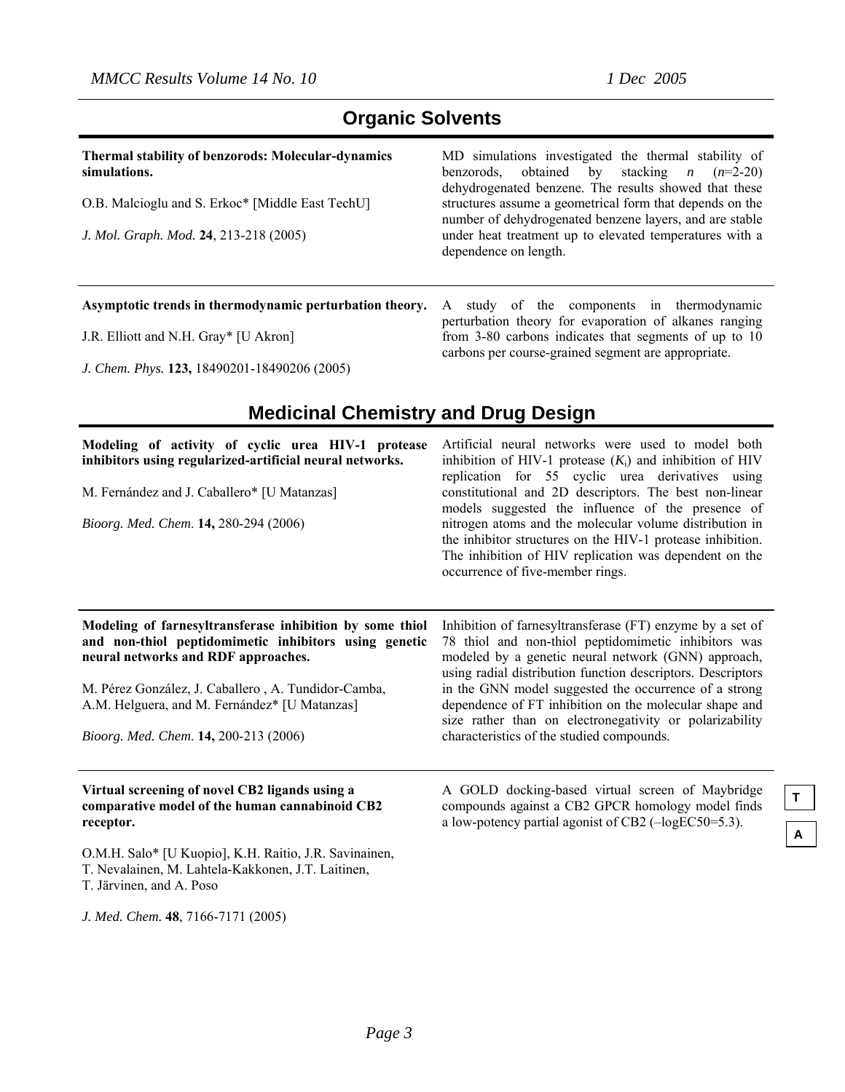| <b>Organic Solvents</b> |  |  |
|-------------------------|--|--|
|-------------------------|--|--|

| <b>Thermal stability of benzorods: Molecular-dynamics</b><br>simulations. | MD simulations investigated the thermal stability of<br>benzorods, obtained by stacking <i>n</i> $(n=2-20)$<br>dehydrogenated benzene. The results showed that these |
|---------------------------------------------------------------------------|----------------------------------------------------------------------------------------------------------------------------------------------------------------------|
| O.B. Malcioglu and S. Erkoc* [Middle East TechU]                          | structures assume a geometrical form that depends on the<br>number of dehydrogenated benzene layers, and are stable                                                  |
| J. Mol. Graph. Mod. 24, 213-218 (2005)                                    | under heat treatment up to elevated temperatures with a<br>dependence on length.                                                                                     |

J.R. Elliott and N.H. Gray\* [U Akron]

*J. Chem. Phys.* **123,** 18490201-18490206 (2005)

**Asymptotic trends in thermodynamic perturbation theory.**  A study of the components in thermodynamic perturbation theory for evaporation of alkanes ranging from 3-80 carbons indicates that segments of up to 10 carbons per course-grained segment are appropriate.

### **Medicinal Chemistry and Drug Design**

| Modeling of activity of cyclic urea HIV-1 protease<br>inhibitors using regularized-artificial neural networks.<br>M. Fernández and J. Caballero* [U Matanzas]<br>Bioorg. Med. Chem. 14, 280-294 (2006)                                                                                                    | Artificial neural networks were used to model both<br>inhibition of HIV-1 protease $(K_i)$ and inhibition of HIV<br>replication for 55 cyclic urea derivatives using<br>constitutional and 2D descriptors. The best non-linear<br>models suggested the influence of the presence of<br>nitrogen atoms and the molecular volume distribution in<br>the inhibitor structures on the HIV-1 protease inhibition.<br>The inhibition of HIV replication was dependent on the<br>occurrence of five-member rings. |
|-----------------------------------------------------------------------------------------------------------------------------------------------------------------------------------------------------------------------------------------------------------------------------------------------------------|------------------------------------------------------------------------------------------------------------------------------------------------------------------------------------------------------------------------------------------------------------------------------------------------------------------------------------------------------------------------------------------------------------------------------------------------------------------------------------------------------------|
| Modeling of farnesyltransferase inhibition by some thiol<br>and non-thiol peptidomimetic inhibitors using genetic<br>neural networks and RDF approaches.<br>M. Pérez González, J. Caballero, A. Tundidor-Camba,<br>A.M. Helguera, and M. Fernández* [U Matanzas]<br>Bioorg. Med. Chem. 14, 200-213 (2006) | Inhibition of farnesyltransferase (FT) enzyme by a set of<br>78 thiol and non-thiol peptidomimetic inhibitors was<br>modeled by a genetic neural network (GNN) approach,<br>using radial distribution function descriptors. Descriptors<br>in the GNN model suggested the occurrence of a strong<br>dependence of FT inhibition on the molecular shape and<br>size rather than on electronegativity or polarizability<br>characteristics of the studied compounds.                                         |
| Virtual screening of novel CB2 ligands using a<br>comparative model of the human cannabinoid CB2                                                                                                                                                                                                          | A GOLD docking-based virtual screen of Maybridge<br>compounds against a CB2 GPCR homology model finds<br>$\mathbf{1}$ $\mathbf{1}$ $\mathbf{1}$ $\mathbf{1}$ $\mathbf{1}$ $\mathbf{1}$ $\mathbf{1}$ $\mathbf{1}$ $\mathbf{1}$ $\mathbf{1}$ $\mathbf{1}$ $\mathbf{1}$ $\mathbf{1}$ $\mathbf{1}$ $\mathbf{1}$ $\mathbf{1}$ $\mathbf{1}$ $\mathbf{1}$ $\mathbf{1}$ $\mathbf{1}$ $\mathbf{1}$ $\mathbf{1}$ $\mathbf{1}$ $\mathbf{1}$ $\mathbf{$                                                                |

**receptor.** 

O.M.H. Salo\* [U Kuopio], K.H. Raitio, J.R. Savinainen, T. Nevalainen, M. Lahtela-Kakkonen, J.T. Laitinen,

T. Järvinen, and A. Poso

*J. Med. Chem.* **48**, 7166-7171 (2005)

a low-potency partial agonist of CB2 (–logEC50=5.3).

**T**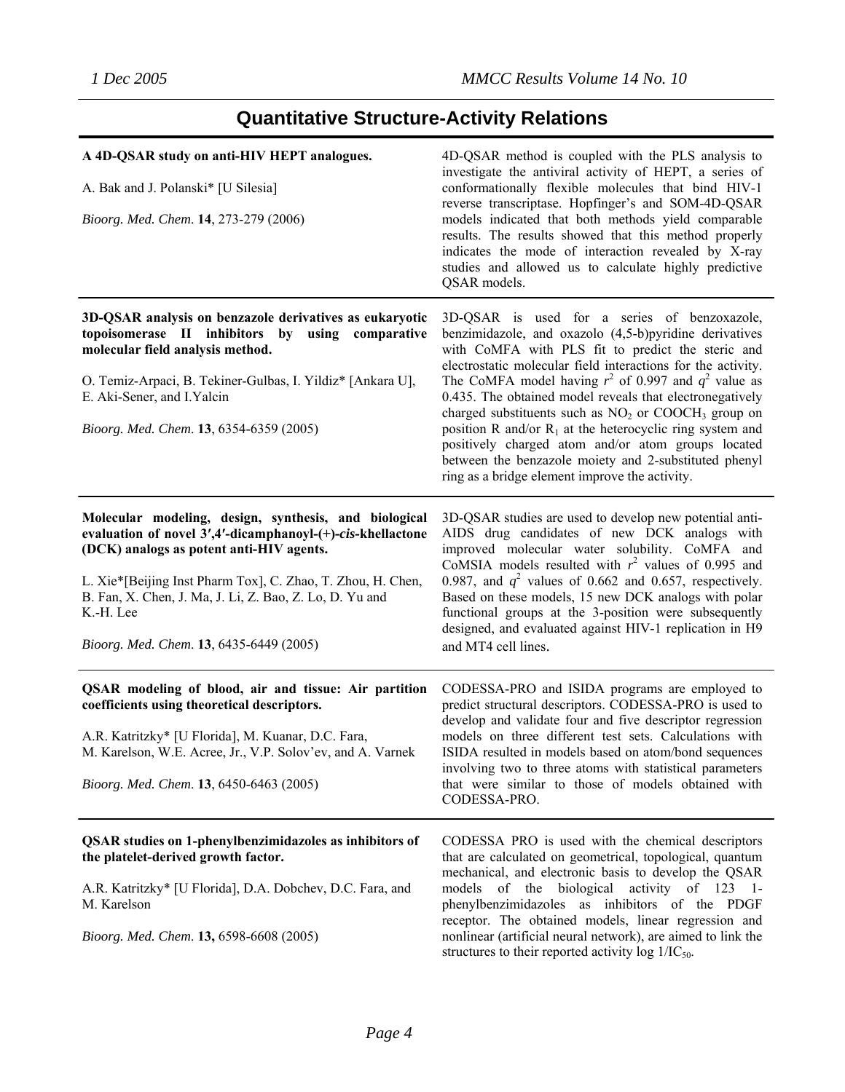## **Quantitative Structure-Activity Relations**

| A 4D-QSAR study on anti-HIV HEPT analogues.<br>A. Bak and J. Polanski* [U Silesia]<br>Bioorg. Med. Chem. 14, 273-279 (2006)                                                                                                                                                                                                                       | 4D-QSAR method is coupled with the PLS analysis to<br>investigate the antiviral activity of HEPT, a series of<br>conformationally flexible molecules that bind HIV-1<br>reverse transcriptase. Hopfinger's and SOM-4D-QSAR<br>models indicated that both methods yield comparable<br>results. The results showed that this method properly<br>indicates the mode of interaction revealed by X-ray<br>studies and allowed us to calculate highly predictive<br>QSAR models.                                                                                                                                                                               |
|---------------------------------------------------------------------------------------------------------------------------------------------------------------------------------------------------------------------------------------------------------------------------------------------------------------------------------------------------|----------------------------------------------------------------------------------------------------------------------------------------------------------------------------------------------------------------------------------------------------------------------------------------------------------------------------------------------------------------------------------------------------------------------------------------------------------------------------------------------------------------------------------------------------------------------------------------------------------------------------------------------------------|
| 3D-QSAR analysis on benzazole derivatives as eukaryotic<br>topoisomerase II inhibitors by using comparative<br>molecular field analysis method.<br>O. Temiz-Arpaci, B. Tekiner-Gulbas, I. Yildiz* [Ankara U],<br>E. Aki-Sener, and I. Yalcin<br>Bioorg. Med. Chem. 13, 6354-6359 (2005)                                                           | 3D-QSAR is used for a series of benzoxazole,<br>benzimidazole, and oxazolo (4,5-b)pyridine derivatives<br>with CoMFA with PLS fit to predict the steric and<br>electrostatic molecular field interactions for the activity.<br>The CoMFA model having $r^2$ of 0.997 and $q^2$ value as<br>0.435. The obtained model reveals that electronegatively<br>charged substituents such as $NO2$ or COOCH <sub>3</sub> group on<br>position R and/or $R_1$ at the heterocyclic ring system and<br>positively charged atom and/or atom groups located<br>between the benzazole moiety and 2-substituted phenyl<br>ring as a bridge element improve the activity. |
| Molecular modeling, design, synthesis, and biological<br>evaluation of novel 3',4'-dicamphanoyl-(+)-cis-khellactone<br>(DCK) analogs as potent anti-HIV agents.<br>L. Xie*[Beijing Inst Pharm Tox], C. Zhao, T. Zhou, H. Chen,<br>B. Fan, X. Chen, J. Ma, J. Li, Z. Bao, Z. Lo, D. Yu and<br>K.-H. Lee<br>Bioorg. Med. Chem. 13, 6435-6449 (2005) | 3D-QSAR studies are used to develop new potential anti-<br>AIDS drug candidates of new DCK analogs with<br>improved molecular water solubility. CoMFA and<br>CoMSIA models resulted with $r^2$ values of 0.995 and<br>0.987, and $q^2$ values of 0.662 and 0.657, respectively.<br>Based on these models, 15 new DCK analogs with polar<br>functional groups at the 3-position were subsequently<br>designed, and evaluated against HIV-1 replication in H9<br>and MT4 cell lines.                                                                                                                                                                       |
| QSAR modeling of blood, air and tissue: Air partition<br>coefficients using theoretical descriptors.<br>A.R. Katritzky* [U Florida], M. Kuanar, D.C. Fara,<br>M. Karelson, W.E. Acree, Jr., V.P. Solov'ev, and A. Varnek<br>Bioorg. Med. Chem. 13, 6450-6463 (2005)                                                                               | CODESSA-PRO and ISIDA programs are employed to<br>predict structural descriptors. CODESSA-PRO is used to<br>develop and validate four and five descriptor regression<br>models on three different test sets. Calculations with<br>ISIDA resulted in models based on atom/bond sequences<br>involving two to three atoms with statistical parameters<br>that were similar to those of models obtained with<br>CODESSA-PRO.                                                                                                                                                                                                                                |
| <b>QSAR</b> studies on 1-phenylbenzimidazoles as inhibitors of<br>the platelet-derived growth factor.<br>A.R. Katritzky* [U Florida], D.A. Dobchev, D.C. Fara, and<br>M. Karelson<br>Bioorg. Med. Chem. 13, 6598-6608 (2005)                                                                                                                      | CODESSA PRO is used with the chemical descriptors<br>that are calculated on geometrical, topological, quantum<br>mechanical, and electronic basis to develop the QSAR<br>models of the biological activity of 123 1-<br>phenylbenzimidazoles as inhibitors of the PDGF<br>receptor. The obtained models, linear regression and<br>nonlinear (artificial neural network), are aimed to link the<br>structures to their reported activity $log 1/IC_{50}$ .                                                                                                                                                                                                |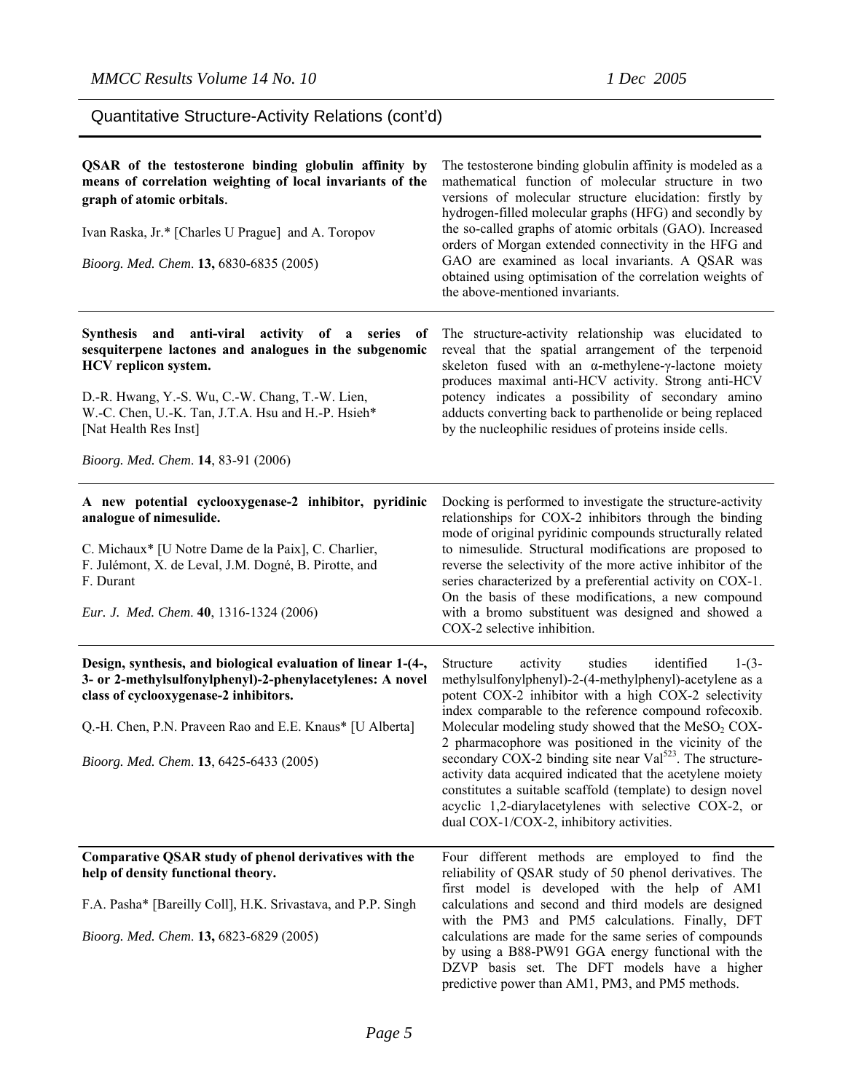Quantitative Structure-Activity Relations (cont'd)

| QSAR of the testosterone binding globulin affinity by<br>means of correlation weighting of local invariants of the<br>graph of atomic orbitals.<br>Ivan Raska, Jr.* [Charles U Prague] and A. Toropov<br>Bioorg. Med. Chem. 13, 6830-6835 (2005)                                                                  | The testosterone binding globulin affinity is modeled as a<br>mathematical function of molecular structure in two<br>versions of molecular structure elucidation: firstly by<br>hydrogen-filled molecular graphs (HFG) and secondly by<br>the so-called graphs of atomic orbitals (GAO). Increased<br>orders of Morgan extended connectivity in the HFG and<br>GAO are examined as local invariants. A QSAR was<br>obtained using optimisation of the correlation weights of<br>the above-mentioned invariants.                                                                                                                                                             |
|-------------------------------------------------------------------------------------------------------------------------------------------------------------------------------------------------------------------------------------------------------------------------------------------------------------------|-----------------------------------------------------------------------------------------------------------------------------------------------------------------------------------------------------------------------------------------------------------------------------------------------------------------------------------------------------------------------------------------------------------------------------------------------------------------------------------------------------------------------------------------------------------------------------------------------------------------------------------------------------------------------------|
| Synthesis and<br>anti-viral activity of a series<br>of<br>sesquiterpene lactones and analogues in the subgenomic<br>HCV replicon system.<br>D.-R. Hwang, Y.-S. Wu, C.-W. Chang, T.-W. Lien,<br>W.-C. Chen, U.-K. Tan, J.T.A. Hsu and H.-P. Hsieh*<br>[Nat Health Res Inst]<br>Bioorg. Med. Chem. 14, 83-91 (2006) | The structure-activity relationship was elucidated to<br>reveal that the spatial arrangement of the terpenoid<br>skeleton fused with an $\alpha$ -methylene- $\gamma$ -lactone moiety<br>produces maximal anti-HCV activity. Strong anti-HCV<br>potency indicates a possibility of secondary amino<br>adducts converting back to parthenolide or being replaced<br>by the nucleophilic residues of proteins inside cells.                                                                                                                                                                                                                                                   |
| A new potential cyclooxygenase-2 inhibitor, pyridinic<br>analogue of nimesulide.<br>C. Michaux* [U Notre Dame de la Paix], C. Charlier,<br>F. Julémont, X. de Leval, J.M. Dogné, B. Pirotte, and<br>F. Durant<br>Eur. J. Med. Chem. 40, 1316-1324 (2006)                                                          | Docking is performed to investigate the structure-activity<br>relationships for COX-2 inhibitors through the binding<br>mode of original pyridinic compounds structurally related<br>to nimesulide. Structural modifications are proposed to<br>reverse the selectivity of the more active inhibitor of the<br>series characterized by a preferential activity on COX-1.<br>On the basis of these modifications, a new compound<br>with a bromo substituent was designed and showed a<br>COX-2 selective inhibition.                                                                                                                                                        |
| Design, synthesis, and biological evaluation of linear 1-(4-,<br>3- or 2-methylsulfonylphenyl)-2-phenylacetylenes: A novel<br>class of cyclooxygenase-2 inhibitors.<br>Q.-H. Chen, P.N. Praveen Rao and E.E. Knaus* [U Alberta]<br>Bioorg. Med. Chem. 13, 6425-6433 (2005)                                        | studies<br>identified<br>$1-(3-$<br>Structure<br>activity<br>methylsulfonylphenyl)-2-(4-methylphenyl)-acetylene as a<br>potent COX-2 inhibitor with a high COX-2 selectivity<br>index comparable to the reference compound rofecoxib.<br>Molecular modeling study showed that the MeSO <sub>2</sub> COX-<br>2 pharmacophore was positioned in the vicinity of the<br>secondary COX-2 binding site near Val <sup>523</sup> . The structure-<br>activity data acquired indicated that the acetylene moiety<br>constitutes a suitable scaffold (template) to design novel<br>acyclic 1,2-diarylacetylenes with selective COX-2, or<br>dual COX-1/COX-2, inhibitory activities. |
| Comparative QSAR study of phenol derivatives with the<br>help of density functional theory.<br>F.A. Pasha* [Bareilly Coll], H.K. Srivastava, and P.P. Singh<br>Bioorg. Med. Chem. 13, 6823-6829 (2005)                                                                                                            | Four different methods are employed to find the<br>reliability of QSAR study of 50 phenol derivatives. The<br>first model is developed with the help of AM1<br>calculations and second and third models are designed<br>with the PM3 and PM5 calculations. Finally, DFT<br>calculations are made for the same series of compounds<br>by using a B88-PW91 GGA energy functional with the<br>DZVP basis set. The DFT models have a higher<br>predictive power than AM1, PM3, and PM5 methods.                                                                                                                                                                                 |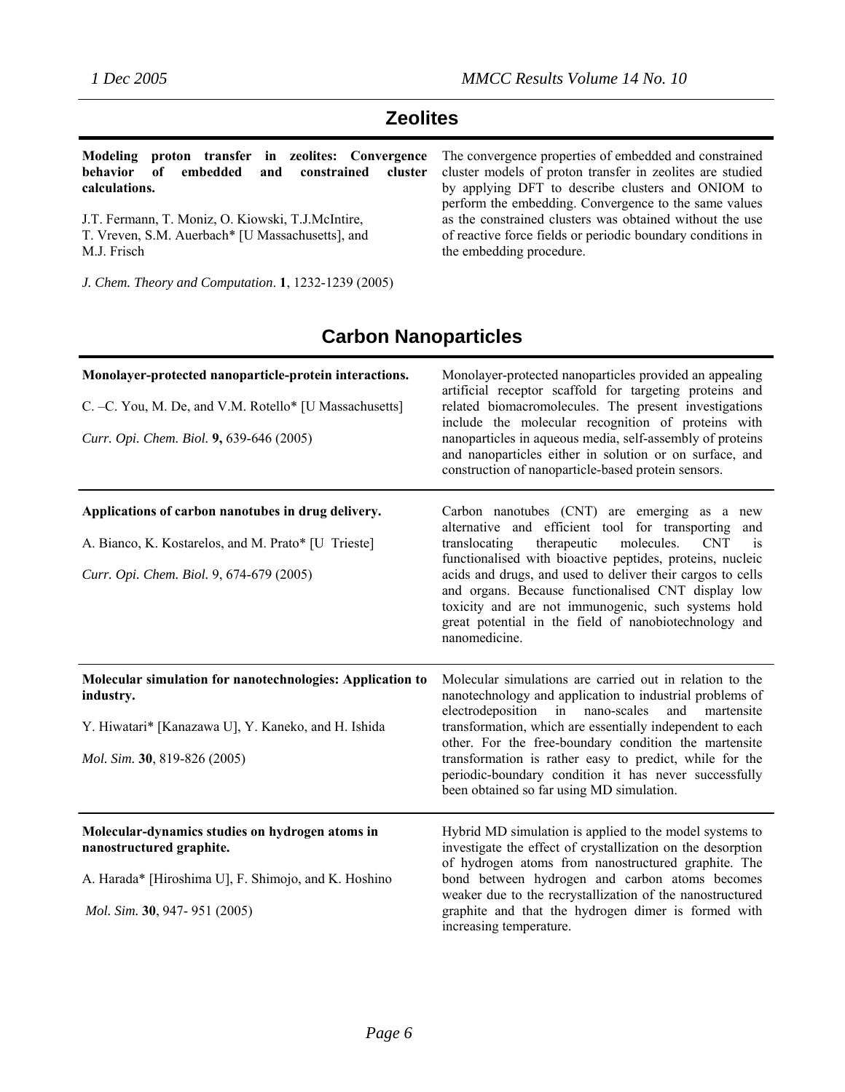### **Zeolites**

**Modeling proton transfer in zeolites: Convergence behavior of embedded and constrained cluster calculations.** 

J.T. Fermann, T. Moniz, O. Kiowski, T.J.McIntire, T. Vreven, S.M. Auerbach\* [U Massachusetts], and M.J. Frisch

*J. Chem. Theory and Computation*. **1**, 1232-1239 (2005)

The convergence properties of embedded and constrained cluster models of proton transfer in zeolites are studied by applying DFT to describe clusters and ONIOM to perform the embedding. Convergence to the same values as the constrained clusters was obtained without the use of reactive force fields or periodic boundary conditions in the embedding procedure.

## **Carbon Nanoparticles**

| Monolayer-protected nanoparticle-protein interactions.<br>C. -C. You, M. De, and V.M. Rotello* [U Massachusetts]<br>Curr. Opi. Chem. Biol. 9, 639-646 (2005)        | Monolayer-protected nanoparticles provided an appealing<br>artificial receptor scaffold for targeting proteins and<br>related biomacromolecules. The present investigations<br>include the molecular recognition of proteins with<br>nanoparticles in aqueous media, self-assembly of proteins<br>and nanoparticles either in solution or on surface, and<br>construction of nanoparticle-based protein sensors.                                                                                    |
|---------------------------------------------------------------------------------------------------------------------------------------------------------------------|-----------------------------------------------------------------------------------------------------------------------------------------------------------------------------------------------------------------------------------------------------------------------------------------------------------------------------------------------------------------------------------------------------------------------------------------------------------------------------------------------------|
| Applications of carbon nanotubes in drug delivery.<br>A. Bianco, K. Kostarelos, and M. Prato* [U Trieste]<br>Curr. Opi. Chem. Biol. 9, 674-679 (2005)               | Carbon nanotubes (CNT) are emerging as a new<br>alternative and efficient tool for transporting and<br>molecules.<br>therapeutic<br>translocating<br><b>CNT</b><br><sup>1</sup> S<br>functionalised with bioactive peptides, proteins, nucleic<br>acids and drugs, and used to deliver their cargos to cells<br>and organs. Because functionalised CNT display low<br>toxicity and are not immunogenic, such systems hold<br>great potential in the field of nanobiotechnology and<br>nanomedicine. |
| Molecular simulation for nanotechnologies: Application to<br>industry.<br>Y. Hiwatari* [Kanazawa U], Y. Kaneko, and H. Ishida<br>Mol. Sim. 30, 819-826 (2005)       | Molecular simulations are carried out in relation to the<br>nanotechnology and application to industrial problems of<br>electrodeposition in nano-scales<br>and<br>martensite<br>transformation, which are essentially independent to each<br>other. For the free-boundary condition the martensite<br>transformation is rather easy to predict, while for the<br>periodic-boundary condition it has never successfully<br>been obtained so far using MD simulation.                                |
| Molecular-dynamics studies on hydrogen atoms in<br>nanostructured graphite.<br>A. Harada* [Hiroshima U], F. Shimojo, and K. Hoshino<br>Mol. Sim. 30, 947-951 (2005) | Hybrid MD simulation is applied to the model systems to<br>investigate the effect of crystallization on the desorption<br>of hydrogen atoms from nanostructured graphite. The<br>bond between hydrogen and carbon atoms becomes<br>weaker due to the recrystallization of the nanostructured<br>graphite and that the hydrogen dimer is formed with<br>increasing temperature.                                                                                                                      |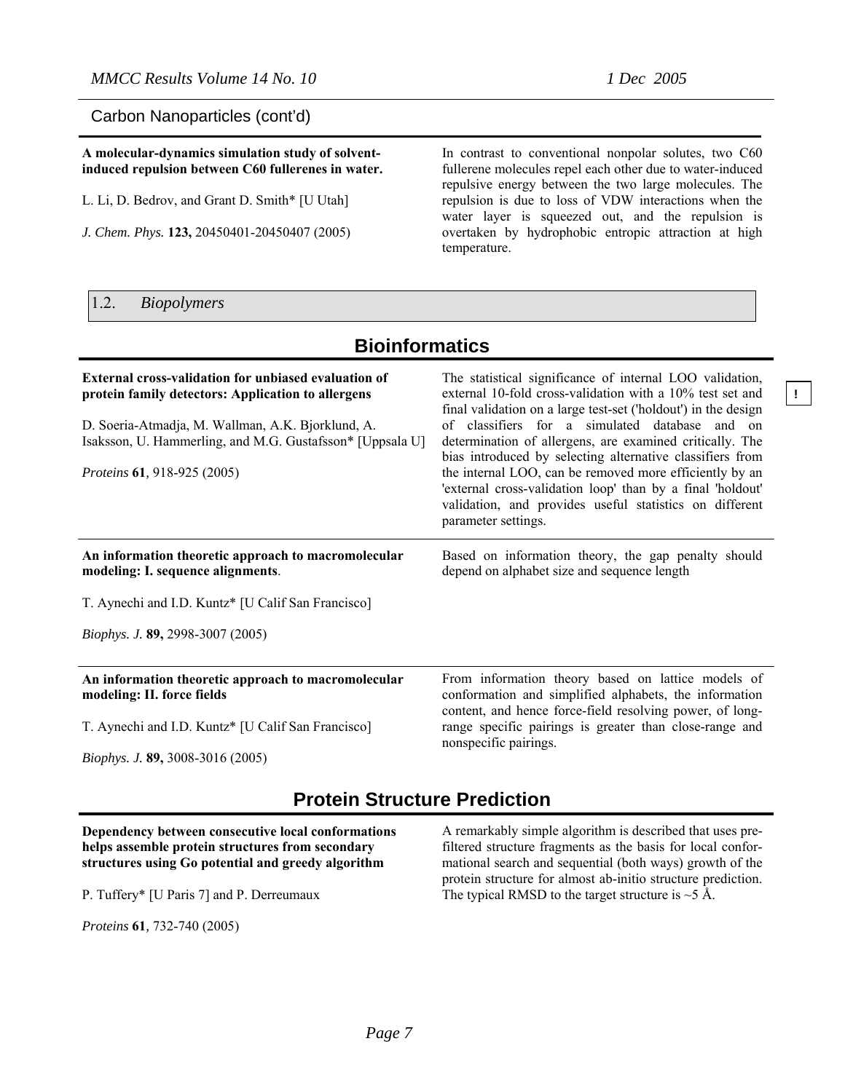**!** 

Carbon Nanoparticles (cont'd)

#### **A molecular-dynamics simulation study of solventinduced repulsion between C60 fullerenes in water.**

L. Li, D. Bedrov, and Grant D. Smith\* [U Utah]

*J. Chem. Phys.* **123,** 20450401-20450407 (2005)

In contrast to conventional nonpolar solutes, two C60 fullerene molecules repel each other due to water-induced repulsive energy between the two large molecules. The repulsion is due to loss of VDW interactions when the water layer is squeezed out, and the repulsion is overtaken by hydrophobic entropic attraction at high temperature.

#### 1.2. *Biopolymers*

| <b>Bioinformatics</b>                                                                                                                                                                                                                                                     |                                                                                                                                                                                                                                                                                                                                                                                                                                                                                                                                                                               |  |
|---------------------------------------------------------------------------------------------------------------------------------------------------------------------------------------------------------------------------------------------------------------------------|-------------------------------------------------------------------------------------------------------------------------------------------------------------------------------------------------------------------------------------------------------------------------------------------------------------------------------------------------------------------------------------------------------------------------------------------------------------------------------------------------------------------------------------------------------------------------------|--|
| <b>External cross-validation for unbiased evaluation of</b><br>protein family detectors: Application to allergens<br>D. Soeria-Atmadja, M. Wallman, A.K. Bjorklund, A.<br>Isaksson, U. Hammerling, and M.G. Gustafsson* [Uppsala U]<br><i>Proteins</i> 61, 918-925 (2005) | The statistical significance of internal LOO validation,<br>external 10-fold cross-validation with a 10% test set and<br>final validation on a large test-set ('holdout') in the design<br>of classifiers for a simulated database and on<br>determination of allergens, are examined critically. The<br>bias introduced by selecting alternative classifiers from<br>the internal LOO, can be removed more efficiently by an<br>'external cross-validation loop' than by a final 'holdout'<br>validation, and provides useful statistics on different<br>parameter settings. |  |
| An information theoretic approach to macromolecular<br>modeling: I. sequence alignments.                                                                                                                                                                                  | Based on information theory, the gap penalty should<br>depend on alphabet size and sequence length                                                                                                                                                                                                                                                                                                                                                                                                                                                                            |  |
| T. Aynechi and I.D. Kuntz* [U Calif San Francisco]                                                                                                                                                                                                                        |                                                                                                                                                                                                                                                                                                                                                                                                                                                                                                                                                                               |  |
| Biophys. J. 89, 2998-3007 (2005)                                                                                                                                                                                                                                          |                                                                                                                                                                                                                                                                                                                                                                                                                                                                                                                                                                               |  |
| An information theoretic approach to macromolecular<br>modeling: II. force fields<br>T. Aynechi and I.D. Kuntz* [U Calif San Francisco]                                                                                                                                   | From information theory based on lattice models of<br>conformation and simplified alphabets, the information<br>content, and hence force-field resolving power, of long-<br>range specific pairings is greater than close-range and<br>nonspecific pairings.                                                                                                                                                                                                                                                                                                                  |  |

*Biophys. J.* **89,** 3008-3016 (2005)

### **Protein Structure Prediction**

#### **Dependency between consecutive local conformations helps assemble protein structures from secondary structures using Go potential and greedy algorithm**

P. Tuffery\* [U Paris 7] and P. Derreumaux

*Proteins* **61***,* 732-740 (2005)

A remarkably simple algorithm is described that uses prefiltered structure fragments as the basis for local conformational search and sequential (both ways) growth of the protein structure for almost ab-initio structure prediction. The typical RMSD to the target structure is  $\sim$  5 Å.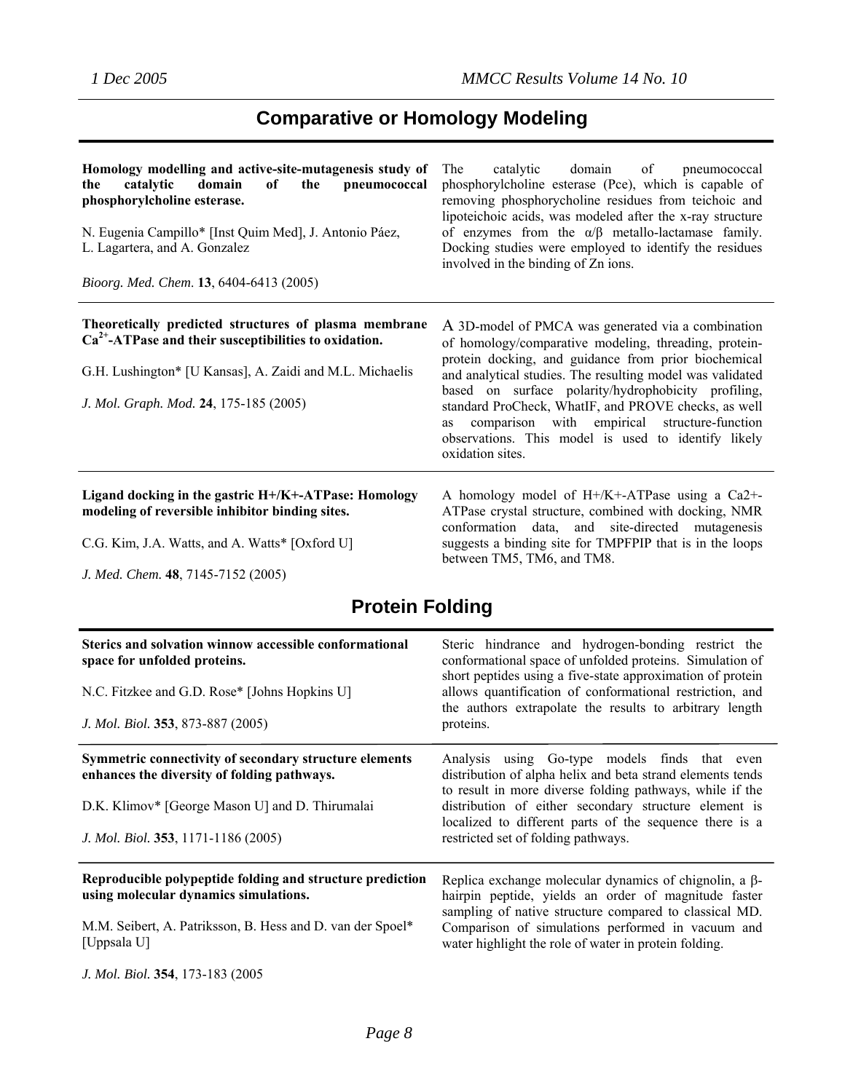## **Comparative or Homology Modeling**

| Homology modelling and active-site-mutagenesis study of<br>domain<br>the<br>catalytic<br>of<br>pneumococcal<br>the<br>phosphorylcholine esterase.<br>N. Eugenia Campillo* [Inst Quim Med], J. Antonio Páez,<br>L. Lagartera, and A. Gonzalez<br>Bioorg. Med. Chem. 13, 6404-6413 (2005) | catalytic<br>domain of pneumococcal<br>The<br>phosphorylcholine esterase (Pce), which is capable of<br>removing phosphorycholine residues from teichoic and<br>lipoteichoic acids, was modeled after the x-ray structure<br>of enzymes from the $\alpha/\beta$ metallo-lactamase family.<br>Docking studies were employed to identify the residues<br>involved in the binding of Zn ions.                                                                                               |
|-----------------------------------------------------------------------------------------------------------------------------------------------------------------------------------------------------------------------------------------------------------------------------------------|-----------------------------------------------------------------------------------------------------------------------------------------------------------------------------------------------------------------------------------------------------------------------------------------------------------------------------------------------------------------------------------------------------------------------------------------------------------------------------------------|
| Theoretically predicted structures of plasma membrane<br>$Ca2+ - ATP$ ase and their susceptibilities to oxidation.<br>G.H. Lushington* [U Kansas], A. Zaidi and M.L. Michaelis<br>J. Mol. Graph. Mod. 24, 175-185 (2005)                                                                | A 3D-model of PMCA was generated via a combination<br>of homology/comparative modeling, threading, protein-<br>protein docking, and guidance from prior biochemical<br>and analytical studies. The resulting model was validated<br>based on surface polarity/hydrophobicity profiling,<br>standard ProCheck, WhatIF, and PROVE checks, as well<br>comparison with empirical structure-function<br><b>as</b><br>observations. This model is used to identify likely<br>oxidation sites. |
| Ligand docking in the gastric H+/K+-ATPase: Homology<br>modeling of reversible inhibitor binding sites.<br>C.G. Kim, J.A. Watts, and A. Watts* [Oxford U]<br>J. Med. Chem. 48, 7145-7152 (2005)                                                                                         | A homology model of $H+/K+ATP$ as using a Ca2+-<br>ATPase crystal structure, combined with docking, NMR<br>conformation data, and site-directed mutagenesis<br>suggests a binding site for TMPFPIP that is in the loops<br>between TM5, TM6, and TM8.                                                                                                                                                                                                                                   |

## **Protein Folding**

| Sterics and solvation winnow accessible conformational<br>space for unfolded proteins.<br>N.C. Fitzkee and G.D. Rose* [Johns Hopkins U]<br>J. Mol. Biol. 353, 873-887 (2005) | Steric hindrance and hydrogen-bonding restrict the<br>conformational space of unfolded proteins. Simulation of<br>short peptides using a five-state approximation of protein<br>allows quantification of conformational restriction, and<br>the authors extrapolate the results to arbitrary length<br>proteins. |
|------------------------------------------------------------------------------------------------------------------------------------------------------------------------------|------------------------------------------------------------------------------------------------------------------------------------------------------------------------------------------------------------------------------------------------------------------------------------------------------------------|
| Symmetric connectivity of secondary structure elements<br>enhances the diversity of folding pathways.                                                                        | Analysis using Go-type models finds that even<br>distribution of alpha helix and beta strand elements tends<br>to result in more diverse folding pathways, while if the                                                                                                                                          |
| D.K. Klimov* [George Mason U] and D. Thirumalai                                                                                                                              | distribution of either secondary structure element is<br>localized to different parts of the sequence there is a                                                                                                                                                                                                 |
| J. Mol. Biol. 353, 1171-1186 (2005)                                                                                                                                          | restricted set of folding pathways.                                                                                                                                                                                                                                                                              |
| Reproducible polypeptide folding and structure prediction<br>using molecular dynamics simulations.                                                                           | Replica exchange molecular dynamics of chignolin, a $\beta$ -<br>hairpin peptide, yields an order of magnitude faster<br>sampling of native structure compared to classical MD.                                                                                                                                  |
| M.M. Seibert, A. Patriksson, B. Hess and D. van der Spoel*<br>[Uppsala U]                                                                                                    | Comparison of simulations performed in vacuum and<br>water highlight the role of water in protein folding.                                                                                                                                                                                                       |
| J. Mol. Biol. 354, 173-183 (2005)                                                                                                                                            |                                                                                                                                                                                                                                                                                                                  |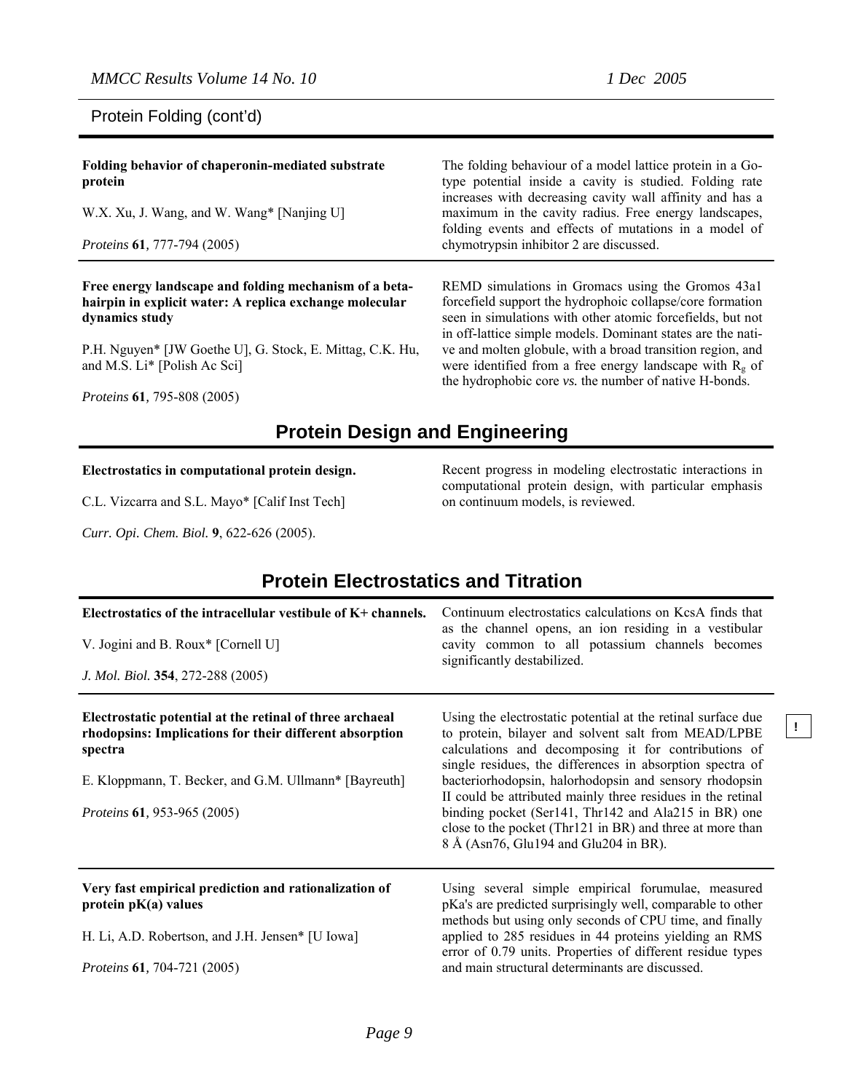Protein Folding (cont'd)

**Folding behavior of chaperonin-mediated substrate protein** W.X. Xu, J. Wang, and W. Wang\* [Nanjing U] *Proteins* **61***,* 777-794 (2005) The folding behaviour of a model lattice protein in a Gotype potential inside a cavity is studied. Folding rate increases with decreasing cavity wall affinity and has a maximum in the cavity radius. Free energy landscapes, folding events and effects of mutations in a model of chymotrypsin inhibitor 2 are discussed. **Free energy landscape and folding mechanism of a betahairpin in explicit water: A replica exchange molecular** REMD simulations in Gromacs using the Gromos 43a1

**dynamics study** P.H. Nguyen\* [JW Goethe U], G. Stock, E. Mittag, C.K. Hu,

and M.S. Li\* [Polish Ac Sci]

*Proteins* **61***,* 795-808 (2005)

forcefield support the hydrophoic collapse/core formation seen in simulations with other atomic forcefields, but not in off-lattice simple models. Dominant states are the native and molten globule, with a broad transition region, and were identified from a free energy landscape with  $R_{g}$  of the hydrophobic core *vs.* the number of native H-bonds.

### **Protein Design and Engineering**

#### **Electrostatics in computational protein design.**

C.L. Vizcarra and S.L. Mayo\* [Calif Inst Tech]

*Curr. Opi. Chem. Biol.* **9**, 622-626 (2005).

Recent progress in modeling electrostatic interactions in computational protein design, with particular emphasis on continuum models, is reviewed.

**!** 

| <b>Protein Electrostatics and Titration</b>                                                                                                                                             |                                                                                                                                                                                                                                                                                                    |  |
|-----------------------------------------------------------------------------------------------------------------------------------------------------------------------------------------|----------------------------------------------------------------------------------------------------------------------------------------------------------------------------------------------------------------------------------------------------------------------------------------------------|--|
| Electrostatics of the intracellular vestibule of K+ channels.                                                                                                                           | Continuum electrostatics calculations on KcsA finds that<br>as the channel opens, an ion residing in a vestibular                                                                                                                                                                                  |  |
| V. Jogini and B. Roux* [Cornell U]                                                                                                                                                      | cavity common to all potassium channels becomes<br>significantly destabilized.                                                                                                                                                                                                                     |  |
| J. Mol. Biol. 354, 272-288 (2005)                                                                                                                                                       |                                                                                                                                                                                                                                                                                                    |  |
| Electrostatic potential at the retinal of three archaeal<br>rhodopsins: Implications for their different absorption<br>spectra<br>E. Kloppmann, T. Becker, and G.M. Ullmann* [Bayreuth] | Using the electrostatic potential at the retinal surface due<br>to protein, bilayer and solvent salt from MEAD/LPBE<br>calculations and decomposing it for contributions of<br>single residues, the differences in absorption spectra of<br>bacteriorhodopsin, halorhodopsin and sensory rhodopsin |  |
| <i>Proteins</i> 61, 953-965 (2005)                                                                                                                                                      | II could be attributed mainly three residues in the retinal<br>binding pocket (Ser141, Thr142 and Ala215 in BR) one<br>close to the pocket (Thr121 in BR) and three at more than                                                                                                                   |  |
|                                                                                                                                                                                         | 8 Å (Asn76, Glu194 and Glu204 in BR).                                                                                                                                                                                                                                                              |  |
| Very fast empirical prediction and rationalization of<br>protein $pK(a)$ values                                                                                                         | Using several simple empirical forumulae, measured<br>pKa's are predicted surprisingly well, comparable to other<br>methods but using only seconds of CPU time, and finally                                                                                                                        |  |
| H. Li, A.D. Robertson, and J.H. Jensen* [U Iowa]                                                                                                                                        | applied to 285 residues in 44 proteins yielding an RMS<br>error of 0.79 units. Properties of different residue types                                                                                                                                                                               |  |
| <i>Proteins</i> <b>61</b> , 704-721 (2005)                                                                                                                                              | and main structural determinants are discussed.                                                                                                                                                                                                                                                    |  |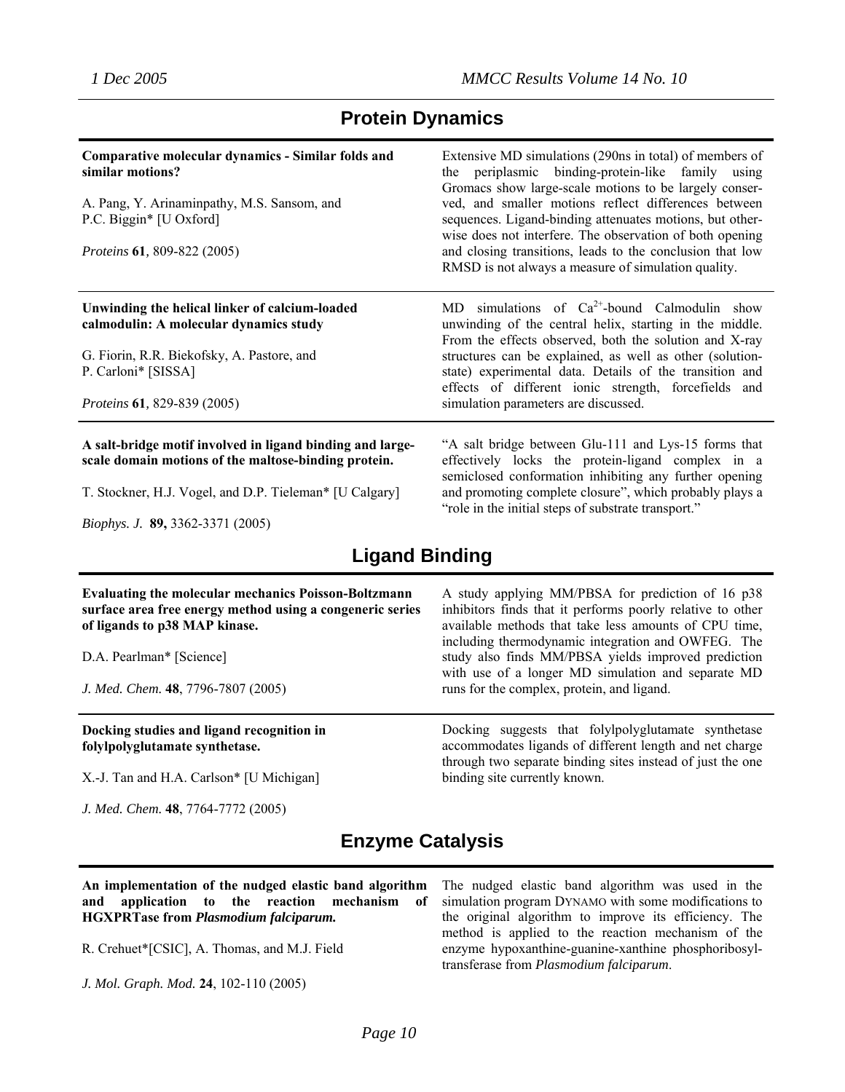### **Protein Dynamics**

| Comparative molecular dynamics - Similar folds and<br>similar motions?<br>A. Pang, Y. Arinaminpathy, M.S. Sansom, and<br>P.C. Biggin* [U Oxford]<br><i>Proteins</i> <b>61</b> , 809-822 (2005) | Extensive MD simulations (290ns in total) of members of<br>the periplasmic binding-protein-like family using<br>Gromacs show large-scale motions to be largely conser-<br>ved, and smaller motions reflect differences between<br>sequences. Ligand-binding attenuates motions, but other-<br>wise does not interfere. The observation of both opening<br>and closing transitions, leads to the conclusion that low<br>RMSD is not always a measure of simulation quality. |
|------------------------------------------------------------------------------------------------------------------------------------------------------------------------------------------------|----------------------------------------------------------------------------------------------------------------------------------------------------------------------------------------------------------------------------------------------------------------------------------------------------------------------------------------------------------------------------------------------------------------------------------------------------------------------------|
| Unwinding the helical linker of calcium-loaded<br>calmodulin: A molecular dynamics study<br>G. Fiorin, R.R. Biekofsky, A. Pastore, and<br>P. Carloni* [SISSA]<br>Proteins 61, 829-839 (2005)   | MD simulations of $Ca^{2+}$ -bound Calmodulin show<br>unwinding of the central helix, starting in the middle.<br>From the effects observed, both the solution and X-ray<br>structures can be explained, as well as other (solution-<br>state) experimental data. Details of the transition and<br>effects of different ionic strength, forcefields and<br>simulation parameters are discussed.                                                                             |
| A salt-bridge motif involved in ligand binding and large-<br>scale domain motions of the maltose-binding protein.<br>T. Stockner, H.J. Vogel, and D.P. Tieleman* [U Calgary]                   | "A salt bridge between Glu-111 and Lys-15 forms that<br>effectively locks the protein-ligand complex in a<br>semiclosed conformation inhibiting any further opening<br>and promoting complete closure", which probably plays a<br>"role in the initial steps of substrate transport."                                                                                                                                                                                      |

*Biophys. J.* **89,** 3362-3371 (2005)

### **Ligand Binding**

| <b>Evaluating the molecular mechanics Poisson-Boltzmann</b><br>surface area free energy method using a congeneric series<br>of ligands to p38 MAP kinase.<br>D.A. Pearlman* [Science]<br>J. Med. Chem. 48, 7796-7807 (2005) | A study applying MM/PBSA for prediction of 16 p38<br>inhibitors finds that it performs poorly relative to other<br>available methods that take less amounts of CPU time,<br>including thermodynamic integration and OWFEG. The<br>study also finds MM/PBSA yields improved prediction<br>with use of a longer MD simulation and separate MD<br>runs for the complex, protein, and ligand. |
|-----------------------------------------------------------------------------------------------------------------------------------------------------------------------------------------------------------------------------|-------------------------------------------------------------------------------------------------------------------------------------------------------------------------------------------------------------------------------------------------------------------------------------------------------------------------------------------------------------------------------------------|
| Docking studies and ligand recognition in<br>folylpolyglutamate synthetase.                                                                                                                                                 | Docking suggests that folylpolyglutamate synthetase<br>accommodates ligands of different length and net charge<br>through two separate binding sites instead of just the one                                                                                                                                                                                                              |
| X.-J. Tan and H.A. Carlson* [U Michigan]<br>J. Med. Chem. 48, 7764-7772 (2005)                                                                                                                                              | binding site currently known.                                                                                                                                                                                                                                                                                                                                                             |

## **Enzyme Catalysis**

|                                              | An implementation of the nudged elastic band algorithm |  |  |  |  |  |
|----------------------------------------------|--------------------------------------------------------|--|--|--|--|--|
|                                              | and application to the reaction mechanism of           |  |  |  |  |  |
| <b>HGXPRTase from Plasmodium falciparum.</b> |                                                        |  |  |  |  |  |

R. Crehuet\*[CSIC], A. Thomas, and M.J. Field

*J. Mol. Graph. Mod.* **24**, 102-110 (2005)

The nudged elastic band algorithm was used in the simulation program DYNAMO with some modifications to the original algorithm to improve its efficiency. The method is applied to the reaction mechanism of the enzyme hypoxanthine-guanine-xanthine phosphoribosyltransferase from *Plasmodium falciparum*.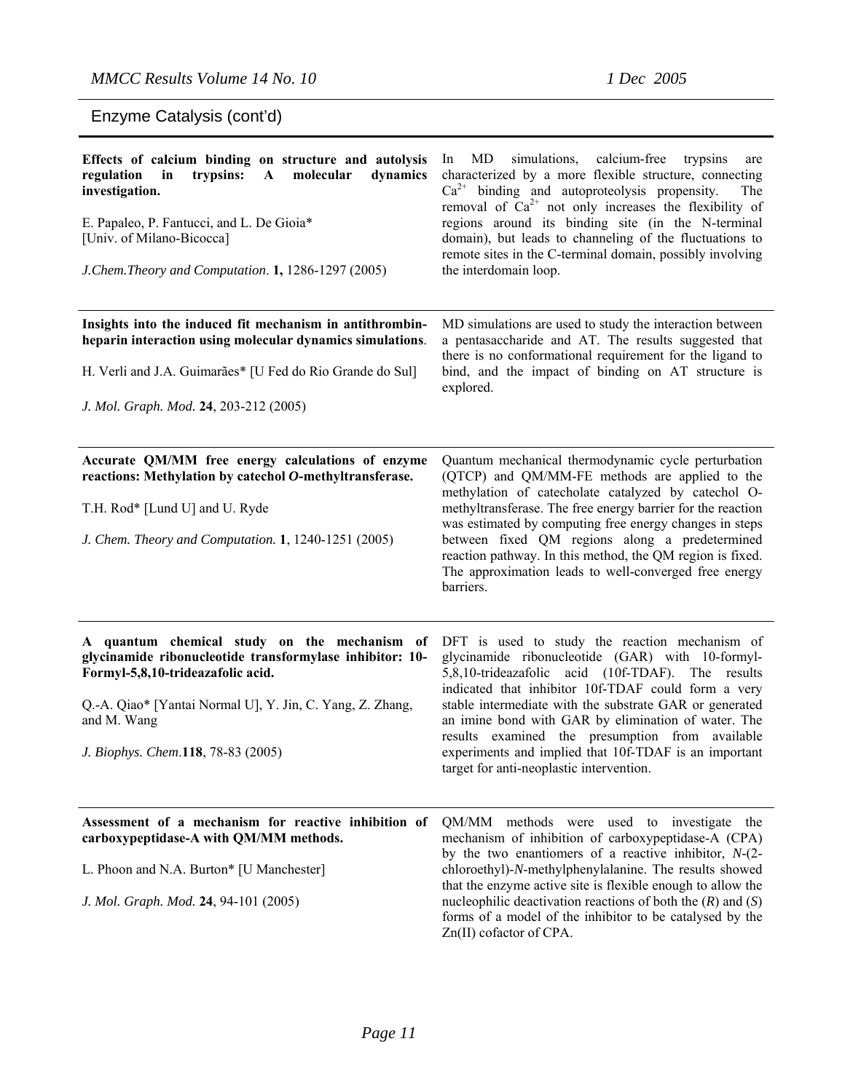Enzyme Catalysis (cont'd)

| Effects of calcium binding on structure and autolysis<br>regulation<br>trypsins:<br>molecular<br>dynamics<br>in<br>$\mathbf{A}$<br>investigation.<br>E. Papaleo, P. Fantucci, and L. De Gioia*<br>[Univ. of Milano-Bicocca]<br>J. Chem. Theory and Computation. 1, 1286-1297 (2005) | MD<br>simulations,<br>calcium-free trypsins<br>ln<br>are<br>characterized by a more flexible structure, connecting<br>$Ca^{2+}$ binding and autoproteolysis propensity.<br>The<br>removal of $Ca^{2+}$ not only increases the flexibility of<br>regions around its binding site (in the N-terminal<br>domain), but leads to channeling of the fluctuations to<br>remote sites in the C-terminal domain, possibly involving<br>the interdomain loop.                                      |
|-------------------------------------------------------------------------------------------------------------------------------------------------------------------------------------------------------------------------------------------------------------------------------------|------------------------------------------------------------------------------------------------------------------------------------------------------------------------------------------------------------------------------------------------------------------------------------------------------------------------------------------------------------------------------------------------------------------------------------------------------------------------------------------|
| Insights into the induced fit mechanism in antithrombin-<br>heparin interaction using molecular dynamics simulations.<br>H. Verli and J.A. Guimarães* [U Fed do Rio Grande do Sul]<br>J. Mol. Graph. Mod. 24, 203-212 (2005)                                                        | MD simulations are used to study the interaction between<br>a pentasaccharide and AT. The results suggested that<br>there is no conformational requirement for the ligand to<br>bind, and the impact of binding on AT structure is<br>explored.                                                                                                                                                                                                                                          |
| Accurate QM/MM free energy calculations of enzyme<br>reactions: Methylation by catechol O-methyltransferase.<br>T.H. Rod* [Lund U] and U. Ryde<br>J. Chem. Theory and Computation. 1, 1240-1251 (2005)                                                                              | Quantum mechanical thermodynamic cycle perturbation<br>(QTCP) and QM/MM-FE methods are applied to the<br>methylation of catecholate catalyzed by catechol O-<br>methyltransferase. The free energy barrier for the reaction<br>was estimated by computing free energy changes in steps<br>between fixed QM regions along a predetermined<br>reaction pathway. In this method, the QM region is fixed.<br>The approximation leads to well-converged free energy<br>barriers.              |
| A quantum chemical study on the mechanism of<br>glycinamide ribonucleotide transformylase inhibitor: 10-<br>Formyl-5,8,10-trideazafolic acid.<br>Q.-A. Qiao* [Yantai Normal U], Y. Jin, C. Yang, Z. Zhang,<br>and M. Wang<br>J. Biophys. Chem.118, 78-83 (2005)                     | DFT is used to study the reaction mechanism of<br>glycinamide ribonucleotide (GAR) with 10-formyl-<br>5,8,10-trideazafolic acid (10f-TDAF). The results<br>indicated that inhibitor 10f-TDAF could form a very<br>stable intermediate with the substrate GAR or generated<br>an imine bond with GAR by elimination of water. The<br>results examined the presumption from available<br>experiments and implied that 10f-TDAF is an important<br>target for anti-neoplastic intervention. |
| Assessment of a mechanism for reactive inhibition of<br>carboxypeptidase-A with QM/MM methods.<br>L. Phoon and N.A. Burton* [U Manchester]<br>J. Mol. Graph. Mod. 24, 94-101 (2005)                                                                                                 | QM/MM methods were used to investigate the<br>mechanism of inhibition of carboxypeptidase-A (CPA)<br>by the two enantiomers of a reactive inhibitor, $N-(2-$<br>chloroethyl)-N-methylphenylalanine. The results showed<br>that the enzyme active site is flexible enough to allow the<br>nucleophilic deactivation reactions of both the $(R)$ and $(S)$<br>forms of a model of the inhibitor to be catalysed by the<br>Zn(II) cofactor of CPA.                                          |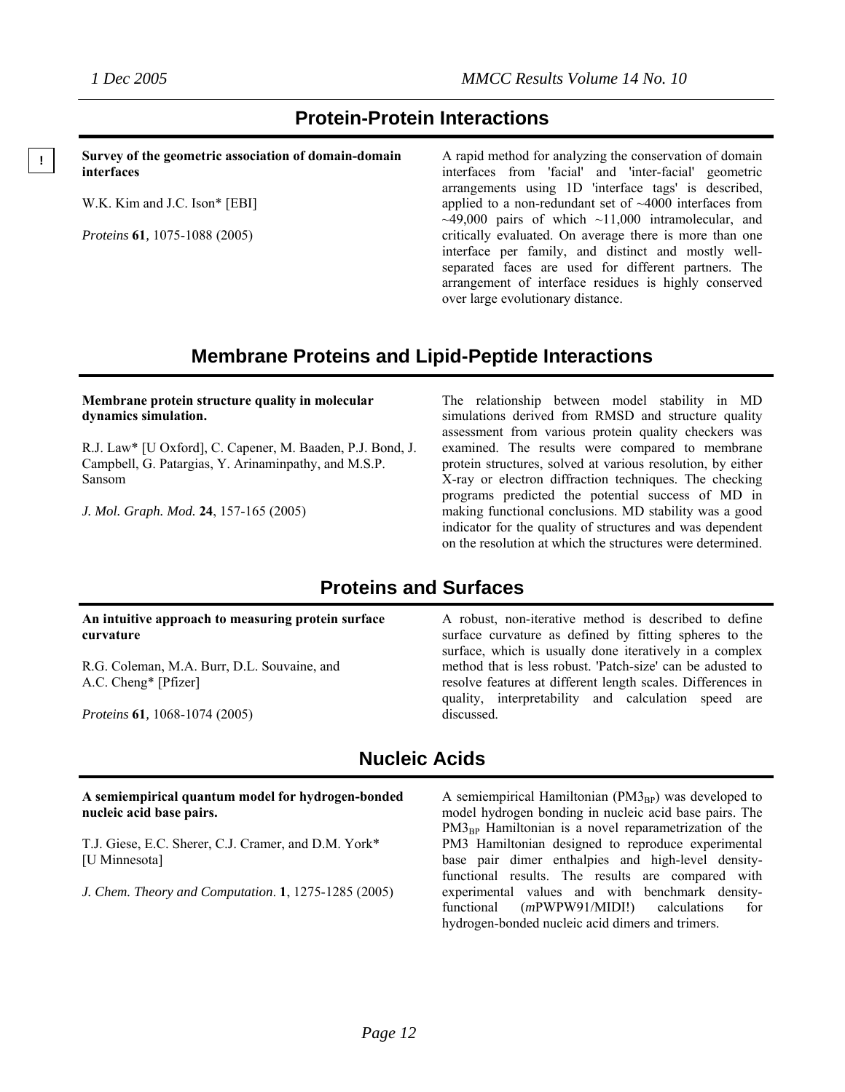#### **Protein-Protein Interactions**

**Survey of the geometric association of domain-domain interfaces**

W.K. Kim and J.C. Ison\* [EBI]

*Proteins* **61***,* 1075-1088 (2005)

A rapid method for analyzing the conservation of domain interfaces from 'facial' and 'inter-facial' geometric arrangements using 1D 'interface tags' is described, applied to a non-redundant set of ~4000 interfaces from  $~19,000$  pairs of which  $~11,000$  intramolecular, and critically evaluated. On average there is more than one interface per family, and distinct and mostly wellseparated faces are used for different partners. The arrangement of interface residues is highly conserved over large evolutionary distance.

#### **Membrane Proteins and Lipid-Peptide Interactions**

#### **Membrane protein structure quality in molecular dynamics simulation.**

R.J. Law\* [U Oxford], C. Capener, M. Baaden, P.J. Bond, J. Campbell, G. Patargias, Y. Arinaminpathy, and M.S.P. Sansom

*J. Mol. Graph. Mod.* **24**, 157-165 (2005)

The relationship between model stability in MD simulations derived from RMSD and structure quality assessment from various protein quality checkers was examined. The results were compared to membrane protein structures, solved at various resolution, by either X-ray or electron diffraction techniques. The checking programs predicted the potential success of MD in making functional conclusions. MD stability was a good indicator for the quality of structures and was dependent on the resolution at which the structures were determined.

#### **Proteins and Surfaces**

#### **An intuitive approach to measuring protein surface curvature**

R.G. Coleman, M.A. Burr, D.L. Souvaine, and A.C. Cheng\* [Pfizer]

*Proteins* **61***,* 1068-1074 (2005)

A robust, non-iterative method is described to define surface curvature as defined by fitting spheres to the surface, which is usually done iteratively in a complex method that is less robust. 'Patch-size' can be adusted to resolve features at different length scales. Differences in quality, interpretability and calculation speed are discussed.

#### **Nucleic Acids**

#### **A semiempirical quantum model for hydrogen-bonded nucleic acid base pairs.**

T.J. Giese, E.C. Sherer, C.J. Cramer, and D.M. York\* [U Minnesota]

*J. Chem. Theory and Computation*. **1**, 1275-1285 (2005)

A semiempirical Hamiltonian  $(PM3_{BP})$  was developed to model hydrogen bonding in nucleic acid base pairs. The  $PM3_{BP}$  Hamiltonian is a novel reparametrization of the PM3 Hamiltonian designed to reproduce experimental base pair dimer enthalpies and high-level densityfunctional results. The results are compared with experimental values and with benchmark densityfunctional (*m*PWPW91/MIDI!) calculations for hydrogen-bonded nucleic acid dimers and trimers.

**!**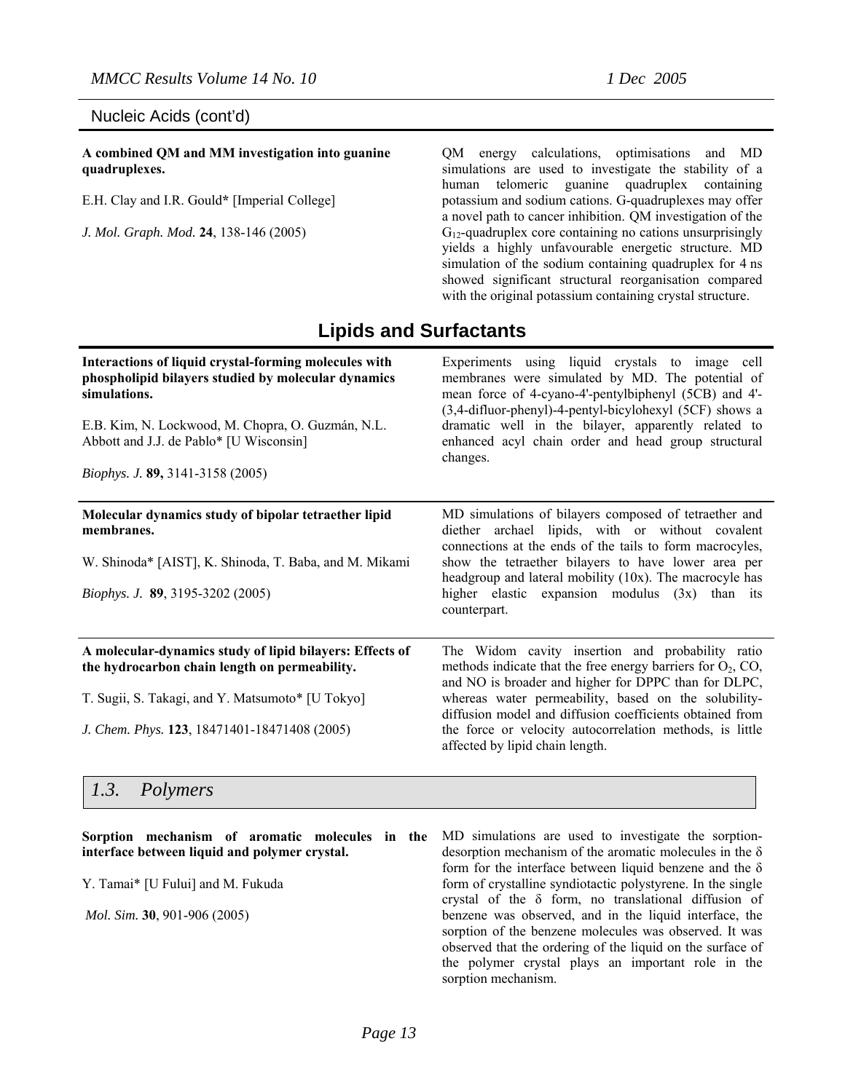#### Nucleic Acids (cont'd)

**A combined QM and MM investigation into guanine quadruplexes.** 

E.H. Clay and I.R. Gould**\*** [Imperial College]

*J. Mol. Graph. Mod.* **24**, 138-146 (2005)

QM energy calculations, optimisations and MD simulations are used to investigate the stability of a human telomeric guanine quadruplex containing potassium and sodium cations. G-quadruplexes may offer a novel path to cancer inhibition. QM investigation of the  $G_{12}$ -quadruplex core containing no cations unsurprisingly yields a highly unfavourable energetic structure. MD simulation of the sodium containing quadruplex for 4 ns showed significant structural reorganisation compared with the original potassium containing crystal structure.

### **Lipids and Surfactants**

| Interactions of liquid crystal-forming molecules with<br>phospholipid bilayers studied by molecular dynamics<br>simulations.<br>E.B. Kim, N. Lockwood, M. Chopra, O. Guzmán, N.L.<br>Abbott and J.J. de Pablo* [U Wisconsin]<br>Biophys. J. 89, 3141-3158 (2005) | Experiments using liquid crystals to image cell<br>membranes were simulated by MD. The potential of<br>mean force of 4-cyano-4'-pentylbiphenyl (5CB) and 4'-<br>(3,4-difluor-phenyl)-4-pentyl-bicylohexyl (5CF) shows a<br>dramatic well in the bilayer, apparently related to<br>enhanced acyl chain order and head group structural<br>changes.                                             |
|------------------------------------------------------------------------------------------------------------------------------------------------------------------------------------------------------------------------------------------------------------------|-----------------------------------------------------------------------------------------------------------------------------------------------------------------------------------------------------------------------------------------------------------------------------------------------------------------------------------------------------------------------------------------------|
| Molecular dynamics study of bipolar tetraether lipid<br>membranes.<br>W. Shinoda* [AIST], K. Shinoda, T. Baba, and M. Mikami<br><i>Biophys. J.</i> 89, 3195-3202 (2005)                                                                                          | MD simulations of bilayers composed of tetraether and<br>diether archael lipids, with or without covalent<br>connections at the ends of the tails to form macrocyles,<br>show the tetraether bilayers to have lower area per<br>headgroup and lateral mobility (10x). The macrocyle has<br>higher elastic expansion modulus (3x) than its<br>counterpart.                                     |
| A molecular-dynamics study of lipid bilayers: Effects of<br>the hydrocarbon chain length on permeability.<br>T. Sugii, S. Takagi, and Y. Matsumoto* [U Tokyo]<br>J. Chem. Phys. 123, 18471401-18471408 (2005)                                                    | The Widom cavity insertion and probability ratio<br>methods indicate that the free energy barriers for $O_2$ , CO,<br>and NO is broader and higher for DPPC than for DLPC,<br>whereas water permeability, based on the solubility-<br>diffusion model and diffusion coefficients obtained from<br>the force or velocity autocorrelation methods, is little<br>affected by lipid chain length. |

#### *1.3. Polymers*

**Sorption mechanism of aromatic molecules in the interface between liquid and polymer crystal.** Y. Tamai\* [U Fului] and M. Fukuda  *Mol. Sim.* **30**, 901-906 (2005) MD simulations are used to investigate the sorptiondesorption mechanism of the aromatic molecules in the δ form for the interface between liquid benzene and the  $\delta$ form of crystalline syndiotactic polystyrene. In the single crystal of the δ form, no translational diffusion of benzene was observed, and in the liquid interface, the sorption of the benzene molecules was observed. It was observed that the ordering of the liquid on the surface of the polymer crystal plays an important role in the sorption mechanism.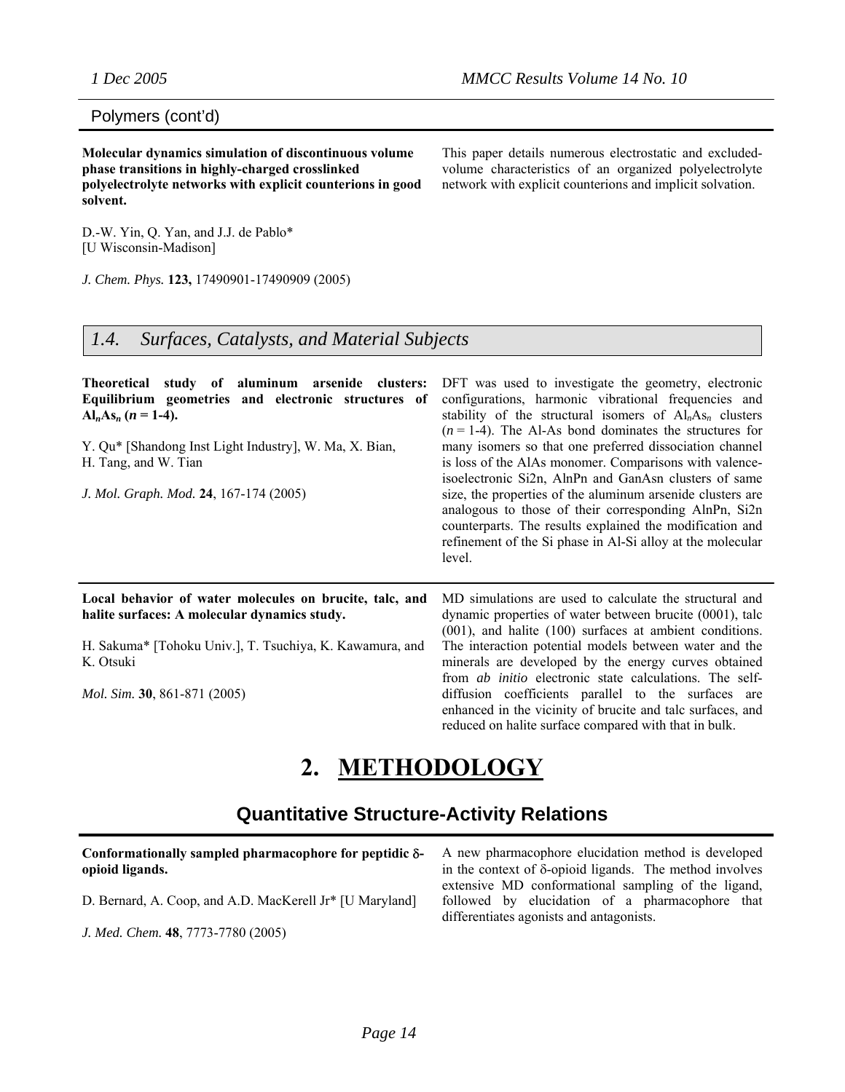#### Polymers (cont'd)

**Molecular dynamics simulation of discontinuous volume phase transitions in highly-charged crosslinked polyelectrolyte networks with explicit counterions in good solvent.** 

This paper details numerous electrostatic and excludedvolume characteristics of an organized polyelectrolyte network with explicit counterions and implicit solvation.

D.-W. Yin, Q. Yan, and J.J. de Pablo\* [U Wisconsin-Madison]

*J. Chem. Phys.* **123,** 17490901-17490909 (2005)

#### *1.4. Surfaces, Catalysts, and Material Subjects*

| Theoretical study of aluminum arsenide clusters:<br>Equilibrium geometries and electronic structures of<br>$Al_nAs_n (n = 1-4).$<br>Y. Qu* [Shandong Inst Light Industry], W. Ma, X. Bian,<br>H. Tang, and W. Tian<br>J. Mol. Graph. Mod. 24, 167-174 (2005) | DFT was used to investigate the geometry, electronic<br>configurations, harmonic vibrational frequencies and<br>stability of the structural isomers of $Aln Asn$ clusters<br>$(n=1-4)$ . The Al-As bond dominates the structures for<br>many isomers so that one preferred dissociation channel<br>is loss of the AlAs monomer. Comparisons with valence-<br>isoelectronic Si2n, AlnPn and GanAsn clusters of same<br>size, the properties of the aluminum arsenide clusters are<br>analogous to those of their corresponding AlnPn, Si2n<br>counterparts. The results explained the modification and<br>refinement of the Si phase in Al-Si alloy at the molecular<br>level. |
|--------------------------------------------------------------------------------------------------------------------------------------------------------------------------------------------------------------------------------------------------------------|-------------------------------------------------------------------------------------------------------------------------------------------------------------------------------------------------------------------------------------------------------------------------------------------------------------------------------------------------------------------------------------------------------------------------------------------------------------------------------------------------------------------------------------------------------------------------------------------------------------------------------------------------------------------------------|
| Local behavior of water molecules on brucite, talc, and<br>halite surfaces: A molecular dynamics study.                                                                                                                                                      | MD simulations are used to calculate the structural and<br>dynamic properties of water between brucite (0001), talc<br>$(001)$ , and halite $(100)$ surfaces at ambient conditions.                                                                                                                                                                                                                                                                                                                                                                                                                                                                                           |
| H. Sakuma* [Tohoku Univ.], T. Tsuchiya, K. Kawamura, and<br>K. Otsuki                                                                                                                                                                                        | The interaction potential models between water and the<br>minerals are developed by the energy curves obtained<br>from <i>ab initio</i> electronic state calculations. The self-                                                                                                                                                                                                                                                                                                                                                                                                                                                                                              |
| <i>Mol. Sim.</i> <b>30</b> , 861-871 (2005)                                                                                                                                                                                                                  | diffusion coefficients parallel to the surfaces are<br>enhanced in the vicinity of brucite and talc surfaces, and<br>reduced on halite surface compared with that in bulk.                                                                                                                                                                                                                                                                                                                                                                                                                                                                                                    |

## **2. METHODOLOGY**

### **Quantitative Structure-Activity Relations**

| Conformationally sampled pharmacophore for peptidic $\delta$ - | A new pharmacophore elucidation method is developed                                                                                                |
|----------------------------------------------------------------|----------------------------------------------------------------------------------------------------------------------------------------------------|
| opioid ligands.                                                | in the context of $\delta$ -opioid ligands. The method involves                                                                                    |
| D. Bernard, A. Coop, and A.D. MacKerell Jr* [U Maryland]       | extensive MD conformational sampling of the ligand,<br>followed by elucidation of a pharmacophore that<br>differentiates agonists and antagonists. |
| J. Med. Chem. 48, 7773-7780 (2005)                             |                                                                                                                                                    |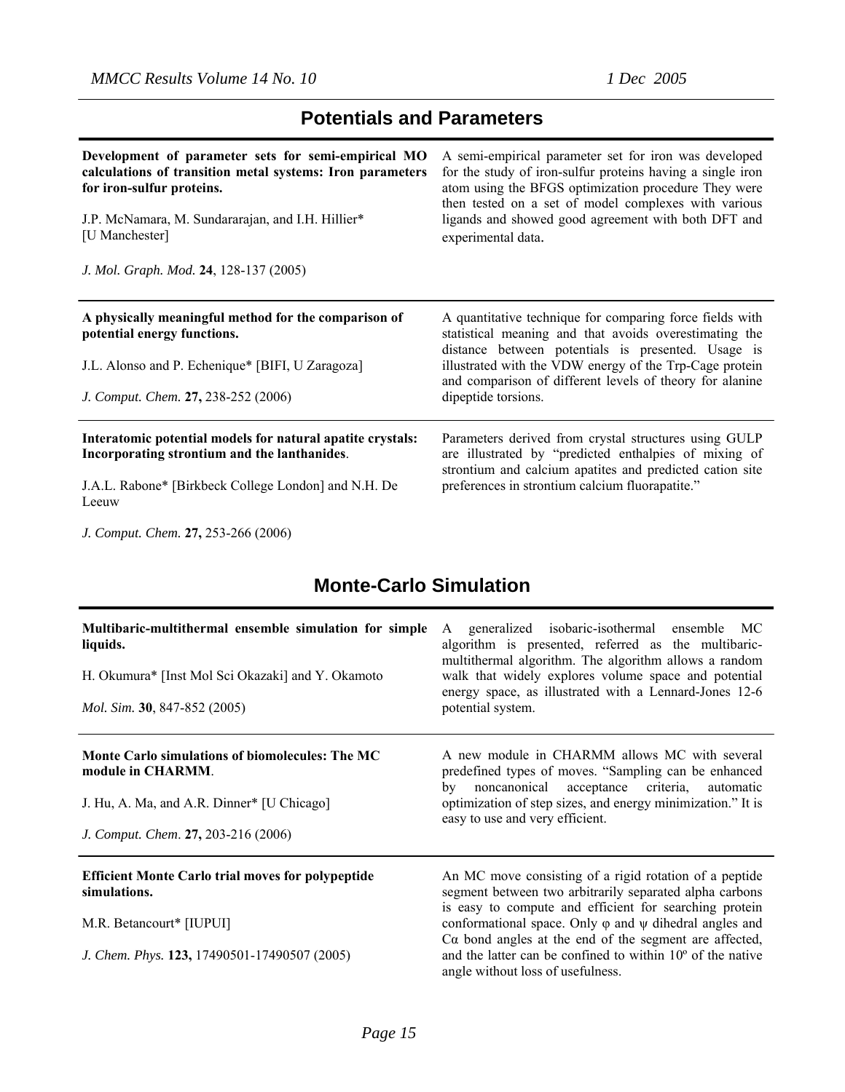### **Potentials and Parameters**

| Development of parameter sets for semi-empirical MO                                                                                                                            | A semi-empirical parameter set for iron was developed                                                                                                                                                                                                                                                                  |
|--------------------------------------------------------------------------------------------------------------------------------------------------------------------------------|------------------------------------------------------------------------------------------------------------------------------------------------------------------------------------------------------------------------------------------------------------------------------------------------------------------------|
| calculations of transition metal systems: Iron parameters                                                                                                                      | for the study of iron-sulfur proteins having a single iron                                                                                                                                                                                                                                                             |
| for iron-sulfur proteins.                                                                                                                                                      | atom using the BFGS optimization procedure They were                                                                                                                                                                                                                                                                   |
| J.P. McNamara, M. Sundararajan, and I.H. Hillier*                                                                                                                              | then tested on a set of model complexes with various                                                                                                                                                                                                                                                                   |
| [U Manchester]                                                                                                                                                                 | ligands and showed good agreement with both DFT and                                                                                                                                                                                                                                                                    |
| J. Mol. Graph. Mod. 24, 128-137 (2005)                                                                                                                                         | experimental data.                                                                                                                                                                                                                                                                                                     |
| A physically meaningful method for the comparison of<br>potential energy functions.<br>J.L. Alonso and P. Echenique* [BIFI, U Zaragoza]<br>J. Comput. Chem. 27, 238-252 (2006) | A quantitative technique for comparing force fields with<br>statistical meaning and that avoids overestimating the<br>distance between potentials is presented. Usage is<br>illustrated with the VDW energy of the Trp-Cage protein<br>and comparison of different levels of theory for alanine<br>dipeptide torsions. |
| Interatomic potential models for natural apatite crystals:                                                                                                                     | Parameters derived from crystal structures using GULP                                                                                                                                                                                                                                                                  |
| Incorporating strontium and the lanthanides.                                                                                                                                   | are illustrated by "predicted enthalpies of mixing of                                                                                                                                                                                                                                                                  |
| J.A.L. Rabone* [Birkbeck College London] and N.H. De                                                                                                                           | strontium and calcium apatites and predicted cation site                                                                                                                                                                                                                                                               |
| Leeuw                                                                                                                                                                          | preferences in strontium calcium fluorapatite."                                                                                                                                                                                                                                                                        |

*J. Comput. Chem.* **27,** 253-266 (2006)

### **Monte-Carlo Simulation**

| Multibaric-multithermal ensemble simulation for simple<br>liquids.<br>H. Okumura* [Inst Mol Sci Okazaki] and Y. Okamoto<br>Mol. Sim. 30, 847-852 (2005)   | A generalized isobaric-isothermal ensemble<br>MC<br>algorithm is presented, referred as the multibaric-<br>multithermal algorithm. The algorithm allows a random<br>walk that widely explores volume space and potential<br>energy space, as illustrated with a Lennard-Jones 12-6<br>potential system.                                                                                                                    |
|-----------------------------------------------------------------------------------------------------------------------------------------------------------|----------------------------------------------------------------------------------------------------------------------------------------------------------------------------------------------------------------------------------------------------------------------------------------------------------------------------------------------------------------------------------------------------------------------------|
| Monte Carlo simulations of biomolecules: The MC<br>module in CHARMM.<br>J. Hu, A. Ma, and A.R. Dinner* [U Chicago]<br>J. Comput. Chem. 27, 203-216 (2006) | A new module in CHARMM allows MC with several<br>predefined types of moves. "Sampling can be enhanced<br>by noncanonical acceptance criteria,<br>automatic<br>optimization of step sizes, and energy minimization." It is<br>easy to use and very efficient.                                                                                                                                                               |
| <b>Efficient Monte Carlo trial moves for polypeptide</b><br>simulations.<br>M.R. Betancourt* [IUPUI]<br>J. Chem. Phys. 123, 17490501-17490507 (2005)      | An MC move consisting of a rigid rotation of a peptide<br>segment between two arbitrarily separated alpha carbons<br>is easy to compute and efficient for searching protein<br>conformational space. Only $\varphi$ and $\psi$ dihedral angles and<br>$Ca$ bond angles at the end of the segment are affected,<br>and the latter can be confined to within $10^{\circ}$ of the native<br>angle without loss of usefulness. |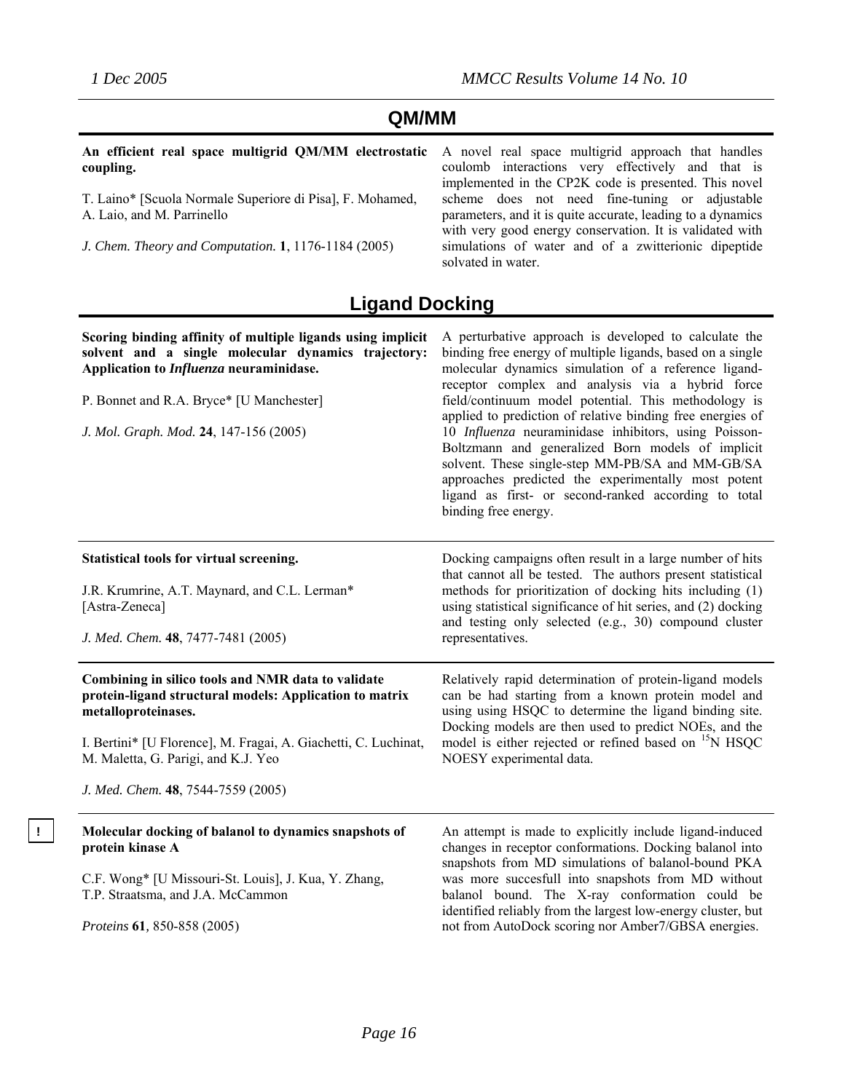### **QM/MM**

**An efficient real space multigrid QM/MM electrostatic coupling.**

T. Laino\* [Scuola Normale Superiore di Pisa], F. Mohamed, A. Laio, and M. Parrinello

*J. Chem. Theory and Computation.* **1**, 1176-1184 (2005)

A novel real space multigrid approach that handles coulomb interactions very effectively and that is implemented in the CP2K code is presented. This novel scheme does not need fine-tuning or adjustable parameters, and it is quite accurate, leading to a dynamics with very good energy conservation. It is validated with simulations of water and of a zwitterionic dipeptide solvated in water.

### **Ligand Docking**

| Scoring binding affinity of multiple ligands using implicit<br>solvent and a single molecular dynamics trajectory:<br>Application to Influenza neuraminidase.<br>P. Bonnet and R.A. Bryce* [U Manchester]<br>J. Mol. Graph. Mod. 24, 147-156 (2005)                                  | A perturbative approach is developed to calculate the<br>binding free energy of multiple ligands, based on a single<br>molecular dynamics simulation of a reference ligand-<br>receptor complex and analysis via a hybrid force<br>field/continuum model potential. This methodology is<br>applied to prediction of relative binding free energies of<br>10 Influenza neuraminidase inhibitors, using Poisson-<br>Boltzmann and generalized Born models of implicit<br>solvent. These single-step MM-PB/SA and MM-GB/SA<br>approaches predicted the experimentally most potent<br>ligand as first- or second-ranked according to total<br>binding free energy. |  |  |
|--------------------------------------------------------------------------------------------------------------------------------------------------------------------------------------------------------------------------------------------------------------------------------------|----------------------------------------------------------------------------------------------------------------------------------------------------------------------------------------------------------------------------------------------------------------------------------------------------------------------------------------------------------------------------------------------------------------------------------------------------------------------------------------------------------------------------------------------------------------------------------------------------------------------------------------------------------------|--|--|
| Statistical tools for virtual screening.<br>J.R. Krumrine, A.T. Maynard, and C.L. Lerman*<br>[Astra-Zeneca]<br>J. Med. Chem. 48, 7477-7481 (2005)                                                                                                                                    | Docking campaigns often result in a large number of hits<br>that cannot all be tested. The authors present statistical<br>methods for prioritization of docking hits including (1)<br>using statistical significance of hit series, and (2) docking<br>and testing only selected (e.g., 30) compound cluster<br>representatives.                                                                                                                                                                                                                                                                                                                               |  |  |
| Combining in silico tools and NMR data to validate<br>protein-ligand structural models: Application to matrix<br>metalloproteinases.<br>I. Bertini* [U Florence], M. Fragai, A. Giachetti, C. Luchinat,<br>M. Maletta, G. Parigi, and K.J. Yeo<br>J. Med. Chem. 48, 7544-7559 (2005) | Relatively rapid determination of protein-ligand models<br>can be had starting from a known protein model and<br>using using HSQC to determine the ligand binding site.<br>Docking models are then used to predict NOEs, and the<br>model is either rejected or refined based on <sup>15</sup> N HSQC<br>NOESY experimental data.                                                                                                                                                                                                                                                                                                                              |  |  |
| Molecular docking of balanol to dynamics snapshots of<br>protein kinase A<br>C.F. Wong* [U Missouri-St. Louis], J. Kua, Y. Zhang,<br>T.P. Straatsma, and J.A. McCammon<br>Proteins 61, 850-858 (2005)                                                                                | An attempt is made to explicitly include ligand-induced<br>changes in receptor conformations. Docking balanol into<br>snapshots from MD simulations of balanol-bound PKA<br>was more succesfull into snapshots from MD without<br>balanol bound. The X-ray conformation could be<br>identified reliably from the largest low-energy cluster, but<br>not from AutoDock scoring nor Amber7/GBSA energies.                                                                                                                                                                                                                                                        |  |  |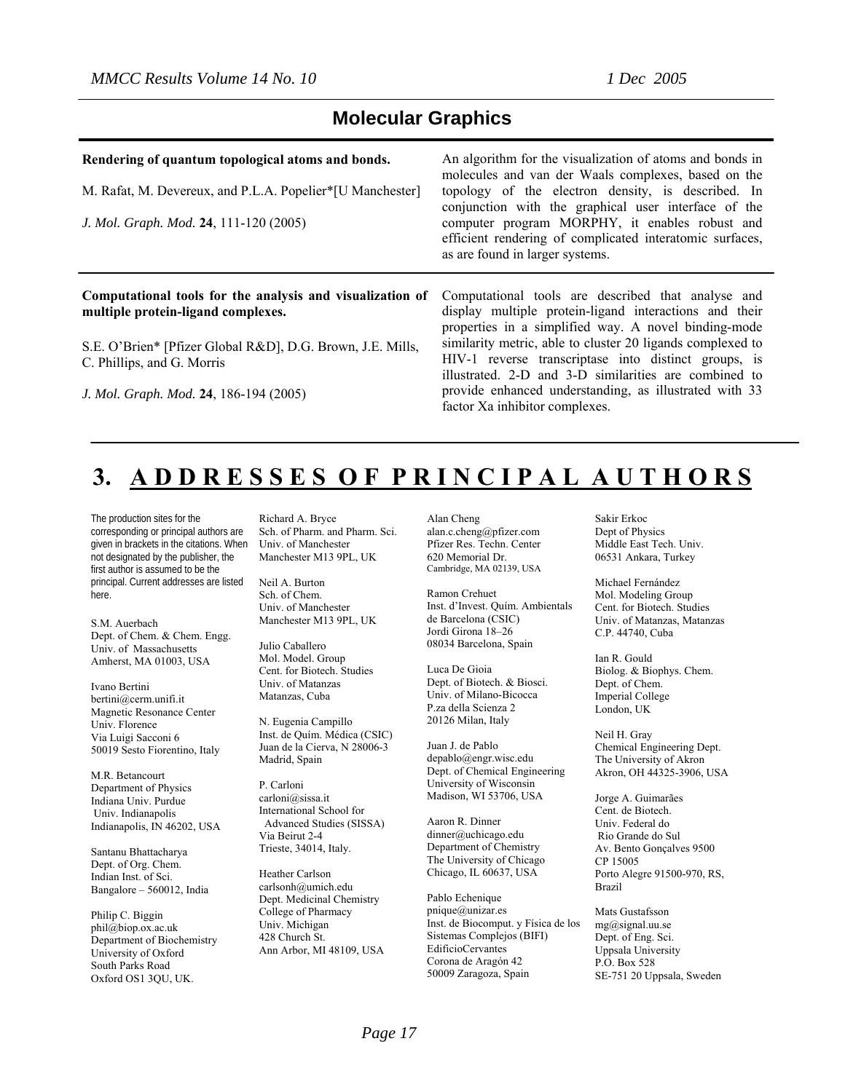#### **Molecular Graphics**

#### **Rendering of quantum topological atoms and bonds.**

M. Rafat, M. Devereux, and P.L.A. Popelier\*[U Manchester]

*J. Mol. Graph. Mod.* **24**, 111-120 (2005)

#### **Computational tools for the analysis and visualization of multiple protein-ligand complexes.**

S.E. O'Brien\* [Pfizer Global R&D], D.G. Brown, J.E. Mills, C. Phillips, and G. Morris

*J. Mol. Graph. Mod.* **24**, 186-194 (2005)

An algorithm for the visualization of atoms and bonds in molecules and van der Waals complexes, based on the topology of the electron density, is described. In conjunction with the graphical user interface of the computer program MORPHY, it enables robust and efficient rendering of complicated interatomic surfaces, as are found in larger systems.

Computational tools are described that analyse and display multiple protein-ligand interactions and their properties in a simplified way. A novel binding-mode similarity metric, able to cluster 20 ligands complexed to HIV-1 reverse transcriptase into distinct groups, is illustrated. 2-D and 3-D similarities are combined to provide enhanced understanding, as illustrated with 33 factor Xa inhibitor complexes.

## **3. A D D R E S S E S O F P R I N C I P A L A U T H O R S**

The production sites for the corresponding or principal authors are given in brackets in the citations. When not designated by the publisher, the first author is assumed to be the principal. Current addresses are listed here.

S.M. Auerbach Dept. of Chem. & Chem. Engg. Univ. of Massachusetts Amherst, MA 01003, USA

Ivano Bertini bertini@cerm.unifi.it Magnetic Resonance Center Univ. Florence Via Luigi Sacconi 6 50019 Sesto Fiorentino, Italy

M.R. Betancourt Department of Physics Indiana Univ. Purdue Univ. Indianapolis Indianapolis, IN 46202, USA

Santanu Bhattacharya Dept. of Org. Chem. Indian Inst. of Sci. Bangalore – 560012, India

Philip C. Biggin phil@biop.ox.ac.uk Department of Biochemistry University of Oxford South Parks Road Oxford OS1 3QU, UK.

Richard A. Bryce Sch. of Pharm. and Pharm. Sci. Univ. of Manchester Manchester M13 9PL, UK

Neil A. Burton Sch. of Chem. Univ. of Manchester Manchester M13 9PL, UK

Julio Caballero Mol. Model. Group Cent. for Biotech. Studies Univ. of Matanzas Matanzas, Cuba

N. Eugenia Campillo Inst. de Quím. Médica (CSIC) Juan de la Cierva, N 28006-3 Madrid, Spain

P. Carloni carloni@sissa.it International School for Advanced Studies (SISSA) Via Beirut 2-4 Trieste, 34014, Italy.

Heather Carlson carlsonh@umich.edu Dept. Medicinal Chemistry College of Pharmacy Univ. Michigan 428 Church St. Ann Arbor, MI 48109, USA Alan Cheng alan.c.cheng@pfizer.com Pfizer Res. Techn. Center 620 Memorial Dr. Cambridge, MA 02139, USA

Ramon Crehuet Inst. d'Invest. Quím. Ambientals de Barcelona (CSIC) Jordi Girona 18–26 08034 Barcelona, Spain

Luca De Gioia Dept. of Biotech. & Biosci. Univ. of Milano-Bicocca P.za della Scienza 2 20126 Milan, Italy

Juan J. de Pablo depablo@engr.wisc.edu Dept. of Chemical Engineering University of Wisconsin Madison, WI 53706, USA

Aaron R. Dinner dinner@uchicago.edu Department of Chemistry The University of Chicago Chicago, IL 60637, USA

Pablo Echenique pnique@unizar.es Inst. de Biocomput. y Física de los Sistemas Complejos (BIFI) EdificioCervantes Corona de Aragón 42 50009 Zaragoza, Spain

Sakir Erkoc Dept of Physics Middle East Tech. Univ. 06531 Ankara, Turkey

Michael Fernández Mol. Modeling Group Cent. for Biotech. Studies Univ. of Matanzas, Matanzas C.P. 44740, Cuba

Ian R. Gould Biolog. & Biophys. Chem. Dept. of Chem. Imperial College London, UK

Neil H. Gray Chemical Engineering Dept. The University of Akron Akron, OH 44325-3906, USA

Jorge A. Guimarães Cent. de Biotech. Univ. Federal do Rio Grande do Sul Av. Bento Gonçalves 9500 CP 15005 Porto Alegre 91500-970, RS, Brazil

Mats Gustafsson mg@signal.uu.se Dept. of Eng. Sci. Uppsala University P.O. Box 528 SE-751 20 Uppsala, Sweden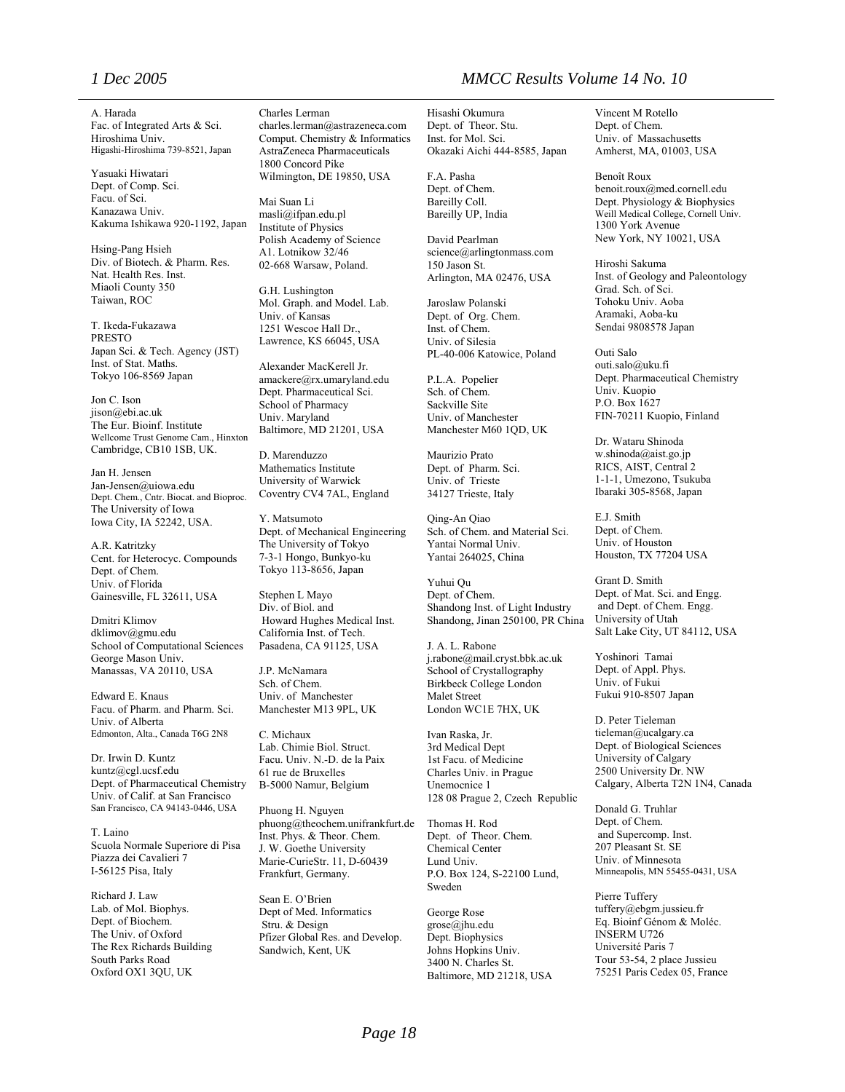A. Harada Fac. of Integrated Arts & Sci. Hiroshima Univ. Higashi-Hiroshima 739-8521, Japan

Yasuaki Hiwatari Dept. of Comp. Sci. Facu. of Sci. Kanazawa Univ. Kakuma Ishikawa 920-1192, Japan

Hsing-Pang Hsieh Div. of Biotech. & Pharm. Res. Nat. Health Res. Inst. Miaoli County 350 Taiwan, ROC

T. Ikeda-Fukazawa PRESTO Japan Sci. & Tech. Agency (JST) Inst. of Stat. Maths. Tokyo 106-8569 Japan

Jon C. Ison jison@ebi.ac.uk The Eur. Bioinf. Institute Wellcome Trust Genome Cam., Hinxton Cambridge, CB10 1SB, UK.

Jan H. Jensen Jan-Jensen@uiowa.edu Dept. Chem., Cntr. Biocat. and Bioproc. The University of Iowa Iowa City, IA 52242, USA.

A.R. Katritzky Cent. for Heterocyc. Compounds Dept. of Chem. Univ. of Florida Gainesville, FL 32611, USA

Dmitri Klimov dklimov@gmu.edu School of Computational Sciences George Mason Univ. Manassas, VA 20110, USA

Edward E. Knaus Facu. of Pharm. and Pharm. Sci. Univ. of Alberta Edmonton, Alta., Canada T6G 2N8

Dr. Irwin D. Kuntz kuntz@cgl.ucsf.edu Dept. of Pharmaceutical Chemistry Univ. of Calif. at San Francisco San Francisco, CA 94143-0446, USA

T. Laino Scuola Normale Superiore di Pisa Piazza dei Cavalieri 7 I-56125 Pisa, Italy

Richard J. Law Lab. of Mol. Biophys. Dept. of Biochem. The Univ. of Oxford The Rex Richards Building South Parks Road Oxford OX1 3QU, UK

Charles Lerman charles.lerman@astrazeneca.com Comput. Chemistry & Informatics AstraZeneca Pharmaceuticals 1800 Concord Pike Wilmington, DE 19850, USA

Mai Suan Li masli@ifpan.edu.pl Institute of Physics Polish Academy of Science A1. Lotnikow 32/46 02-668 Warsaw, Poland.

G.H. Lushington Mol. Graph. and Model. Lab. Univ. of Kansas 1251 Wescoe Hall Dr., Lawrence, KS 66045, USA

Alexander MacKerell Jr. amackere@rx.umaryland.edu Dept. Pharmaceutical Sci. School of Pharmacy Univ. Maryland Baltimore, MD 21201, USA

D. Marenduzzo Mathematics Institute University of Warwick Coventry CV4 7AL, England

Y. Matsumoto Dept. of Mechanical Engineering The University of Tokyo 7-3-1 Hongo, Bunkyo-ku Tokyo 113-8656, Japan

Stephen L Mayo Div. of Biol. and Howard Hughes Medical Inst. California Inst. of Tech. Pasadena, CA 91125, USA

J.P. McNamara Sch. of Chem. Univ. of Manchester Manchester M13 9PL, UK

C. Michaux Lab. Chimie Biol. Struct. Facu. Univ. N.-D. de la Paix 61 rue de Bruxelles B-5000 Namur, Belgium

Phuong H. Nguyen phuong@theochem.unifrankfurt.de Inst. Phys. & Theor. Chem. J. W. Goethe University Marie-CurieStr. 11, D-60439 Frankfurt, Germany.

Sean E. O'Brien Dept of Med. Informatics Stru. & Design Pfizer Global Res. and Develop. Sandwich, Kent, UK

#### *1 Dec 2005 MMCC Results Volume 14 No. 10*

Hisashi Okumura Dept. of Theor. Stu. Inst. for Mol. Sci. Okazaki Aichi 444-8585, Japan

F.A. Pasha Dept. of Chem. Bareilly Coll. Bareilly UP, India

David Pearlman science@arlingtonmass.com 150 Jason St. Arlington, MA 02476, USA

Jaroslaw Polanski Dept. of Org. Chem. Inst. of Chem. Univ. of Silesia PL-40-006 Katowice, Poland

P.L.A. Popelier Sch. of Chem. Sackville Site Univ. of Manchester Manchester M60 1QD, UK

Maurizio Prato Dept. of Pharm. Sci. Univ. of Trieste 34127 Trieste, Italy

Qing-An Qiao Sch. of Chem. and Material Sci. Yantai Normal Univ. Yantai 264025, China

Yuhui Qu Dept. of Chem. Shandong Inst. of Light Industry Shandong, Jinan 250100, PR China

J. A. L. Rabone j.rabone@mail.cryst.bbk.ac.uk School of Crystallography Birkbeck College London Malet Street London WC1E 7HX, UK

Ivan Raska, Jr. 3rd Medical Dept 1st Facu. of Medicine Charles Univ. in Prague Unemocnice 1 128 08 Prague 2, Czech Republic

Thomas H. Rod Dept. of Theor. Chem. Chemical Center Lund Univ. P.O. Box 124, S-22100 Lund, Sweden

George Rose grose@jhu.edu Dept. Biophysics Johns Hopkins Univ. 3400 N. Charles St. Baltimore, MD 21218, USA

Vincent M Rotello Dept. of Chem. Univ. of Massachusetts Amherst, MA, 01003, USA

Benoît Roux benoit.roux@med.cornell.edu Dept. Physiology & Biophysics Weill Medical College, Cornell Univ. 1300 York Avenue New York, NY 10021, USA

Hiroshi Sakuma Inst. of Geology and Paleontology Grad. Sch. of Sci. Tohoku Univ. Aoba Aramaki, Aoba-ku Sendai 9808578 Japan

Outi Salo outi.salo@uku.fi Dept. Pharmaceutical Chemistry Univ. Kuopio P.O. Box 1627 FIN-70211 Kuopio, Finland

Dr. Wataru Shinoda w.shinoda@aist.go.jp RICS, AIST, Central 2 1-1-1, Umezono, Tsukuba Ibaraki 305-8568, Japan

E.J. Smith Dept. of Chem. Univ. of Houston Houston, TX 77204 USA

Grant D. Smith Dept. of Mat. Sci. and Engg. and Dept. of Chem. Engg. University of Utah Salt Lake City, UT 84112, USA

Yoshinori Tamai Dept. of Appl. Phys. Univ. of Fukui Fukui 910-8507 Japan

D. Peter Tieleman tieleman@ucalgary.ca Dept. of Biological Sciences University of Calgary 2500 University Dr. NW Calgary, Alberta T2N 1N4, Canada

Donald G. Truhlar Dept. of Chem. and Supercomp. Inst. 207 Pleasant St. SE Univ. of Minnesota Minneapolis, MN 55455-0431, USA

Pierre Tuffery tuffery@ebgm.jussieu.fr Eq. Bioinf Génom & Moléc. INSERM U726 Université Paris 7 Tour 53-54, 2 place Jussieu 75251 Paris Cedex 05, France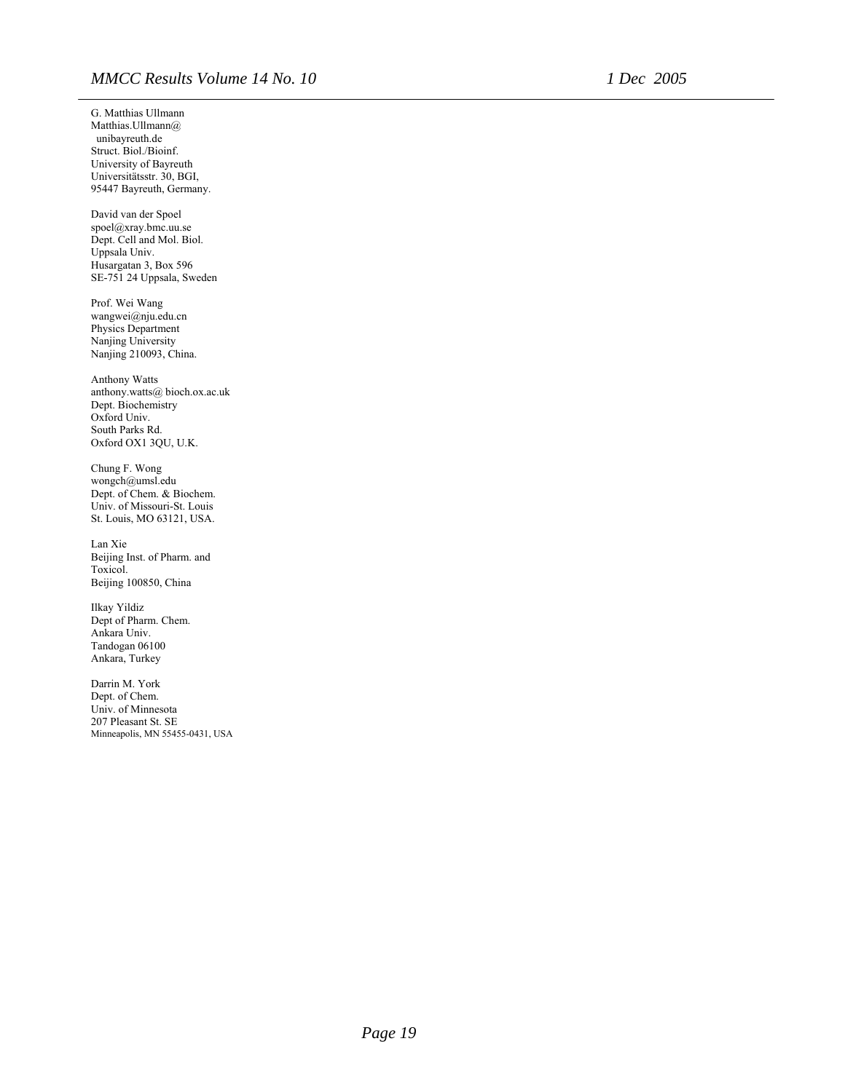G. Matthias Ullmann Matthias.Ullmann@ unibayreuth.de Struct. Biol./Bioinf. University of Bayreuth Universitätsstr. 30, BGI, 95447 Bayreuth, Germany. David van der Spoel spoel@xray.bmc.uu.se Dept. Cell and Mol. Biol. Uppsala Univ. Husargatan 3, Box 596 SE-751 24 Uppsala, Sweden Prof. Wei Wang wangwei@nju.edu.cn Physics Department Nanjing University Nanjing 210093, China. Anthony Watts anthony.watts@ bioch.ox.ac.uk Dept. Biochemistry Oxford Univ. South Parks Rd. Oxford OX1 3QU, U.K. Chung F. Wong wongch@umsl.edu Dept. of Chem. & Biochem. Univ. of Missouri-St. Louis St. Louis, MO 63121, USA. Lan Xie Beijing Inst. of Pharm. and Toxicol. Beijing 100850, China Ilkay Yildiz Dept of Pharm. Chem. Ankara Univ. Tandogan 06100 Ankara, Turkey Darrin M. York Dept. of Chem. Univ. of Minnesota 207 Pleasant St. SE Minneapolis, MN 55455-0431, USA